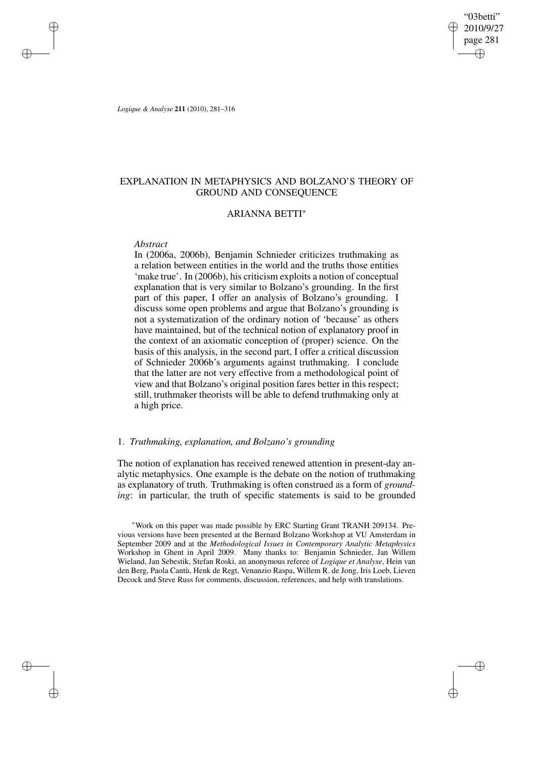"03betti" 2010/9/27 page 281 ✐ ✐

✐

✐

*Logique & Analyse* **211** (2010), 281–316

✐

✐

✐

✐

# EXPLANATION IN METAPHYSICS AND BOLZANO'S THEORY OF GROUND AND CONSEQUENCE

# ARIANNA BETTI<sup>∗</sup>

## *Abstract*

In (2006a, 2006b), Benjamin Schnieder criticizes truthmaking as a relation between entities in the world and the truths those entities 'make true'. In (2006b), his criticism exploits a notion of conceptual explanation that is very similar to Bolzano's grounding. In the first part of this paper, I offer an analysis of Bolzano's grounding. I discuss some open problems and argue that Bolzano's grounding is not a systematization of the ordinary notion of 'because' as others have maintained, but of the technical notion of explanatory proof in the context of an axiomatic conception of (proper) science. On the basis of this analysis, in the second part, I offer a critical discussion of Schnieder 2006b's arguments against truthmaking. I conclude that the latter are not very effective from a methodological point of view and that Bolzano's original position fares better in this respect; still, truthmaker theorists will be able to defend truthmaking only at a high price.

# 1. *Truthmaking, explanation, and Bolzano's grounding*

The notion of explanation has received renewed attention in present-day analytic metaphysics. One example is the debate on the notion of truthmaking as explanatory of truth. Truthmaking is often construed as a form of *grounding*: in particular, the truth of specific statements is said to be grounded

<sup>∗</sup>Work on this paper was made possible by ERC Starting Grant TRANH 209134. Previous versions have been presented at the Bernard Bolzano Workshop at VU Amsterdam in September 2009 and at the *Methodological Issues in Contemporary Analytic Metaphysics* Workshop in Ghent in April 2009. Many thanks to: Benjamin Schnieder, Jan Willem Wieland, Jan Sebestik, Stefan Roski, an anonymous referee of *Logique et Analyse*, Hein van den Berg, Paola Cantù, Henk de Regt, Venanzio Raspa, Willem R. de Jong, Iris Loeb, Lieven Decock and Steve Russ for comments, discussion, references, and help with translations.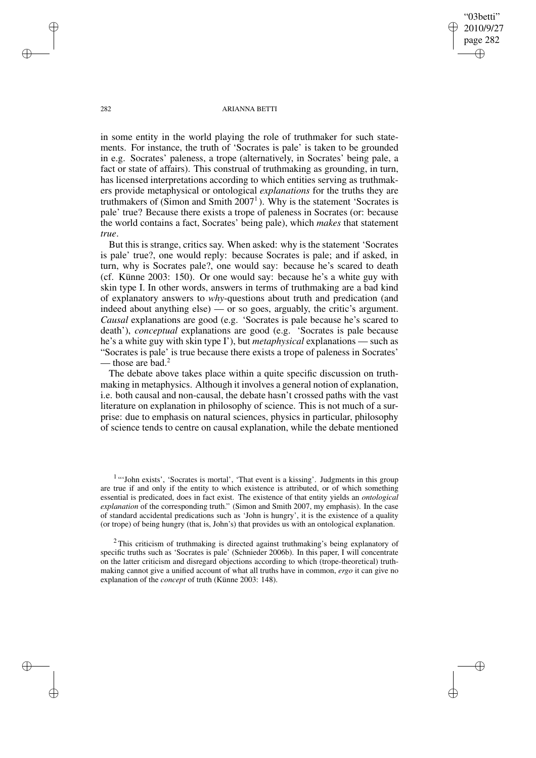✐

#### 282 ARIANNA BETTI

in some entity in the world playing the role of truthmaker for such statements. For instance, the truth of 'Socrates is pale' is taken to be grounded in e.g. Socrates' paleness, a trope (alternatively, in Socrates' being pale, a fact or state of affairs). This construal of truthmaking as grounding, in turn, has licensed interpretations according to which entities serving as truthmakers provide metaphysical or ontological *explanations* for the truths they are truthmakers of (Simon and Smith 2007<sup>1</sup>). Why is the statement 'Socrates is pale' true? Because there exists a trope of paleness in Socrates (or: because the world contains a fact, Socrates' being pale), which *makes* that statement *true*.

But this is strange, critics say. When asked: why is the statement 'Socrates is pale' true?, one would reply: because Socrates is pale; and if asked, in turn, why is Socrates pale?, one would say: because he's scared to death (cf. Künne 2003: 150). Or one would say: because he's a white guy with skin type I. In other words, answers in terms of truthmaking are a bad kind of explanatory answers to *why*-questions about truth and predication (and indeed about anything else) — or so goes, arguably, the critic's argument. *Causal* explanations are good (e.g. 'Socrates is pale because he's scared to death'), *conceptual* explanations are good (e.g. 'Socrates is pale because he's a white guy with skin type I'), but *metaphysical* explanations — such as "Socrates is pale' is true because there exists a trope of paleness in Socrates' - those are bad.<sup>2</sup>

The debate above takes place within a quite specific discussion on truthmaking in metaphysics. Although it involves a general notion of explanation, i.e. both causal and non-causal, the debate hasn't crossed paths with the vast literature on explanation in philosophy of science. This is not much of a surprise: due to emphasis on natural sciences, physics in particular, philosophy of science tends to centre on causal explanation, while the debate mentioned

<sup>1</sup>"'John exists', 'Socrates is mortal', 'That event is a kissing'. Judgments in this group are true if and only if the entity to which existence is attributed, or of which something essential is predicated, does in fact exist. The existence of that entity yields an *ontological explanation* of the corresponding truth." (Simon and Smith 2007, my emphasis). In the case of standard accidental predications such as 'John is hungry', it is the existence of a quality (or trope) of being hungry (that is, John's) that provides us with an ontological explanation.

<sup>2</sup> This criticism of truthmaking is directed against truthmaking's being explanatory of specific truths such as 'Socrates is pale' (Schnieder 2006b). In this paper, I will concentrate on the latter criticism and disregard objections according to which (trope-theoretical) truthmaking cannot give a unified account of what all truths have in common, *ergo* it can give no explanation of the *concept* of truth (Künne 2003: 148).

✐

✐

✐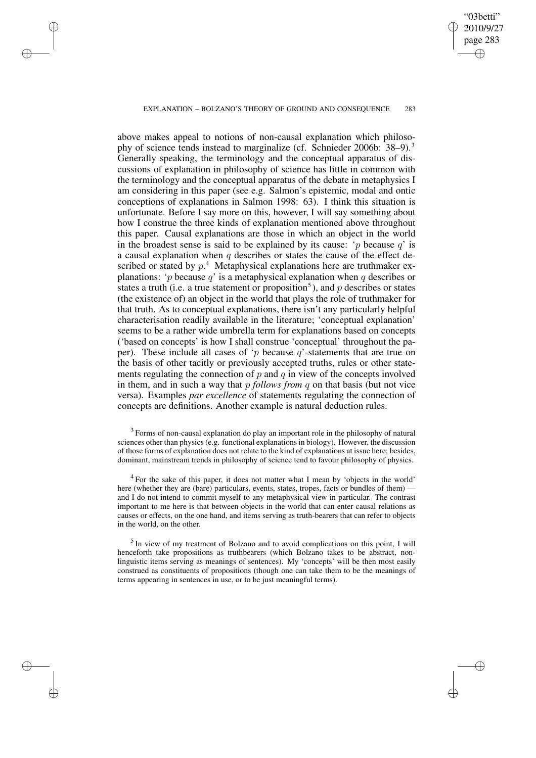#### EXPLANATION – BOLZANO'S THEORY OF GROUND AND CONSEQUENCE 283

✐

✐

✐

✐

"03betti" 2010/9/27 page 283

✐

✐

✐

✐

above makes appeal to notions of non-causal explanation which philosophy of science tends instead to marginalize (cf. Schnieder 2006b: 38–9).<sup>3</sup> Generally speaking, the terminology and the conceptual apparatus of discussions of explanation in philosophy of science has little in common with the terminology and the conceptual apparatus of the debate in metaphysics I am considering in this paper (see e.g. Salmon's epistemic, modal and ontic conceptions of explanations in Salmon 1998: 63). I think this situation is unfortunate. Before I say more on this, however, I will say something about how I construe the three kinds of explanation mentioned above throughout this paper. Causal explanations are those in which an object in the world in the broadest sense is said to be explained by its cause: 'p because  $q'$  is a causal explanation when q describes or states the cause of the effect described or stated by  $p^4$ . Metaphysical explanations here are truthmaker explanations: 'p because q' is a metaphysical explanation when q describes or states a truth (i.e. a true statement or proposition<sup>5</sup>), and  $p$  describes or states (the existence of) an object in the world that plays the role of truthmaker for that truth. As to conceptual explanations, there isn't any particularly helpful characterisation readily available in the literature; 'conceptual explanation' seems to be a rather wide umbrella term for explanations based on concepts ('based on concepts' is how I shall construe 'conceptual' throughout the paper). These include all cases of 'p because  $q$ '-statements that are true on the basis of other tacitly or previously accepted truths, rules or other statements regulating the connection of  $p$  and  $q$  in view of the concepts involved in them, and in such a way that p *follows from* q on that basis (but not vice versa). Examples *par excellence* of statements regulating the connection of concepts are definitions. Another example is natural deduction rules.

<sup>3</sup> Forms of non-causal explanation do play an important role in the philosophy of natural sciences other than physics(e.g. functional explanations in biology). However, the discussion of those forms of explanation does not relate to the kind of explanations at issue here; besides, dominant, mainstream trends in philosophy of science tend to favour philosophy of physics.

<sup>4</sup> For the sake of this paper, it does not matter what I mean by 'objects in the world' here (whether they are (bare) particulars, events, states, tropes, facts or bundles of them) and I do not intend to commit myself to any metaphysical view in particular. The contrast important to me here is that between objects in the world that can enter causal relations as causes or effects, on the one hand, and items serving as truth-bearers that can refer to objects in the world, on the other.

<sup>5</sup> In view of my treatment of Bolzano and to avoid complications on this point, I will henceforth take propositions as truthbearers (which Bolzano takes to be abstract, nonlinguistic items serving as meanings of sentences). My 'concepts' will be then most easily construed as constituents of propositions (though one can take them to be the meanings of terms appearing in sentences in use, or to be just meaningful terms).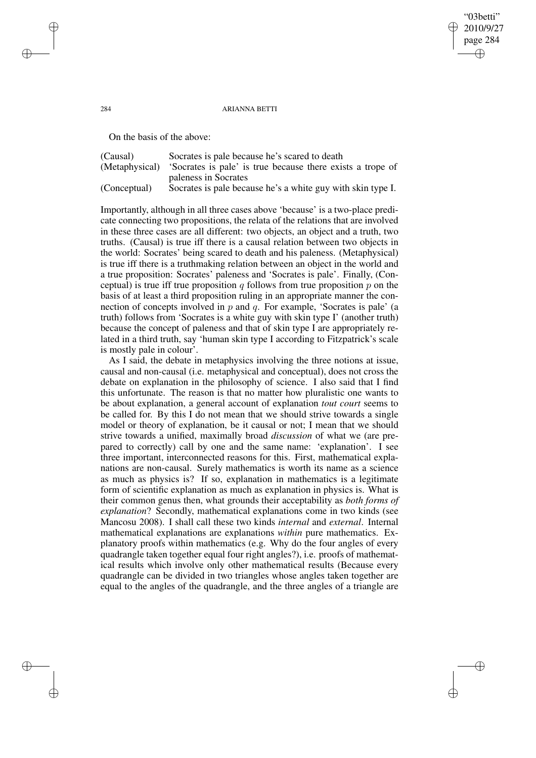#### 284 ARIANNA BETTI

"03betti" 2010/9/27 page 284

✐

✐

✐

✐

On the basis of the above:

| (Causal)       | Socrates is pale because he's scared to death               |  |  |  |  |  |  |
|----------------|-------------------------------------------------------------|--|--|--|--|--|--|
| (Metaphysical) | 'Socrates is pale' is true because there exists a trope of  |  |  |  |  |  |  |
|                | paleness in Socrates                                        |  |  |  |  |  |  |
| (Conceptual)   | Socrates is pale because he's a white guy with skin type I. |  |  |  |  |  |  |

Importantly, although in all three cases above 'because' is a two-place predicate connecting two propositions, the relata of the relations that are involved in these three cases are all different: two objects, an object and a truth, two truths. (Causal) is true iff there is a causal relation between two objects in the world: Socrates' being scared to death and his paleness. (Metaphysical) is true iff there is a truthmaking relation between an object in the world and a true proposition: Socrates' paleness and 'Socrates is pale'. Finally, (Conceptual) is true iff true proposition q follows from true proposition  $p$  on the basis of at least a third proposition ruling in an appropriate manner the connection of concepts involved in  $p$  and  $q$ . For example, 'Socrates is pale' (a truth) follows from 'Socrates is a white guy with skin type I' (another truth) because the concept of paleness and that of skin type I are appropriately related in a third truth, say 'human skin type I according to Fitzpatrick's scale is mostly pale in colour'.

As I said, the debate in metaphysics involving the three notions at issue, causal and non-causal (i.e. metaphysical and conceptual), does not cross the debate on explanation in the philosophy of science. I also said that I find this unfortunate. The reason is that no matter how pluralistic one wants to be about explanation, a general account of explanation *tout court* seems to be called for. By this I do not mean that we should strive towards a single model or theory of explanation, be it causal or not; I mean that we should strive towards a unified, maximally broad *discussion* of what we (are prepared to correctly) call by one and the same name: 'explanation'. I see three important, interconnected reasons for this. First, mathematical explanations are non-causal. Surely mathematics is worth its name as a science as much as physics is? If so, explanation in mathematics is a legitimate form of scientific explanation as much as explanation in physics is. What is their common genus then, what grounds their acceptability as *both forms of explanation*? Secondly, mathematical explanations come in two kinds (see Mancosu 2008). I shall call these two kinds *internal* and *external*. Internal mathematical explanations are explanations *within* pure mathematics. Explanatory proofs within mathematics (e.g. Why do the four angles of every quadrangle taken together equal four right angles?), i.e. proofs of mathematical results which involve only other mathematical results (Because every quadrangle can be divided in two triangles whose angles taken together are equal to the angles of the quadrangle, and the three angles of a triangle are

✐

✐

✐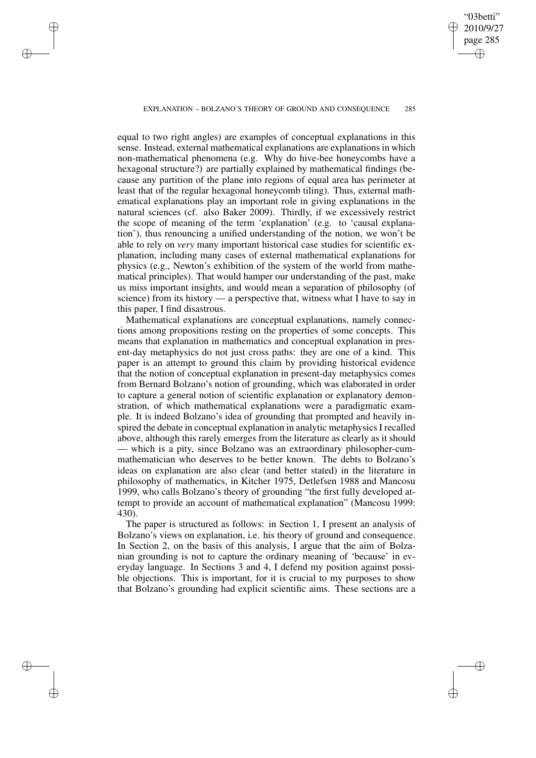✐

✐

✐

"03betti" 2010/9/27 page 285

✐

✐

✐

✐

equal to two right angles) are examples of conceptual explanations in this sense. Instead, external mathematical explanations are explanations in which non-mathematical phenomena (e.g. Why do hive-bee honeycombs have a hexagonal structure?) are partially explained by mathematical findings (because any partition of the plane into regions of equal area has perimeter at least that of the regular hexagonal honeycomb tiling). Thus, external mathematical explanations play an important role in giving explanations in the natural sciences (cf. also Baker 2009). Thirdly, if we excessively restrict the scope of meaning of the term 'explanation' (e.g. to 'causal explanation'), thus renouncing a unified understanding of the notion, we won't be able to rely on *very* many important historical case studies for scientific explanation, including many cases of external mathematical explanations for physics (e.g., Newton's exhibition of the system of the world from mathematical principles). That would hamper our understanding of the past, make us miss important insights, and would mean a separation of philosophy (of science) from its history — a perspective that, witness what I have to say in this paper, I find disastrous.

Mathematical explanations are conceptual explanations, namely connections among propositions resting on the properties of some concepts. This means that explanation in mathematics and conceptual explanation in present-day metaphysics do not just cross paths: they are one of a kind. This paper is an attempt to ground this claim by providing historical evidence that the notion of conceptual explanation in present-day metaphysics comes from Bernard Bolzano's notion of grounding, which was elaborated in order to capture a general notion of scientific explanation or explanatory demonstration, of which mathematical explanations were a paradigmatic example. It is indeed Bolzano's idea of grounding that prompted and heavily inspired the debate in conceptual explanation in analytic metaphysics I recalled above, although this rarely emerges from the literature as clearly as it should — which is a pity, since Bolzano was an extraordinary philosopher-cummathematician who deserves to be better known. The debts to Bolzano's ideas on explanation are also clear (and better stated) in the literature in philosophy of mathematics, in Kitcher 1975, Detlefsen 1988 and Mancosu 1999, who calls Bolzano's theory of grounding "the first fully developed attempt to provide an account of mathematical explanation" (Mancosu 1999: 430).

The paper is structured as follows: in Section 1, I present an analysis of Bolzano's views on explanation, i.e. his theory of ground and consequence. In Section 2, on the basis of this analysis, I argue that the aim of Bolzanian grounding is not to capture the ordinary meaning of 'because' in everyday language. In Sections 3 and 4, I defend my position against possible objections. This is important, for it is crucial to my purposes to show that Bolzano's grounding had explicit scientific aims. These sections are a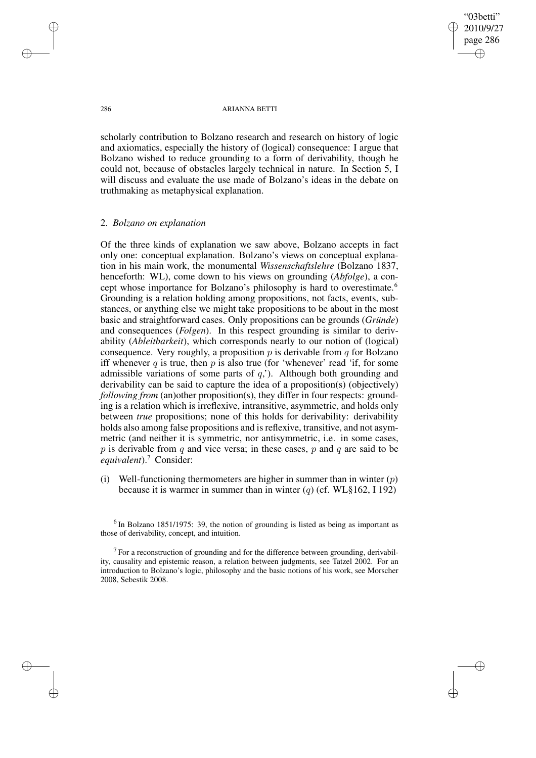"03betti" 2010/9/27 page 286 ✐ ✐

✐

✐

#### 286 ARIANNA BETTI

scholarly contribution to Bolzano research and research on history of logic and axiomatics, especially the history of (logical) consequence: I argue that Bolzano wished to reduce grounding to a form of derivability, though he could not, because of obstacles largely technical in nature. In Section 5, I will discuss and evaluate the use made of Bolzano's ideas in the debate on truthmaking as metaphysical explanation.

# 2. *Bolzano on explanation*

Of the three kinds of explanation we saw above, Bolzano accepts in fact only one: conceptual explanation. Bolzano's views on conceptual explanation in his main work, the monumental *Wissenschaftslehre* (Bolzano 1837, henceforth: WL), come down to his views on grounding (*Abfolge*), a concept whose importance for Bolzano's philosophy is hard to overestimate.<sup>6</sup> Grounding is a relation holding among propositions, not facts, events, substances, or anything else we might take propositions to be about in the most basic and straightforward cases. Only propositions can be grounds (*Gründe*) and consequences (*Folgen*). In this respect grounding is similar to derivability (*Ableitbarkeit*), which corresponds nearly to our notion of (logical) consequence. Very roughly, a proposition  $p$  is derivable from  $q$  for Bolzano iff whenever q is true, then  $p$  is also true (for 'whenever' read 'if, for some admissible variations of some parts of  $q$ ,  $\lambda$ ). Although both grounding and derivability can be said to capture the idea of a proposition(s) (objectively) *following from* (an)other proposition(s), they differ in four respects: grounding is a relation which is irreflexive, intransitive, asymmetric, and holds only between *true* propositions; none of this holds for derivability: derivability holds also among false propositions and is reflexive, transitive, and not asymmetric (and neither it is symmetric, nor antisymmetric, i.e. in some cases, p is derivable from q and vice versa; in these cases, p and q are said to be *equivalent*).<sup>7</sup> Consider:

(i) Well-functioning thermometers are higher in summer than in winter  $(p)$ because it is warmer in summer than in winter (q) (cf. WL§162, I 192)

✐

✐

✐

 $<sup>6</sup>$  In Bolzano 1851/1975: 39, the notion of grounding is listed as being as important as</sup> those of derivability, concept, and intuition.

 $7$  For a reconstruction of grounding and for the difference between grounding, derivability, causality and epistemic reason, a relation between judgments, see Tatzel 2002. For an introduction to Bolzano's logic, philosophy and the basic notions of his work, see Morscher 2008, Sebestik 2008.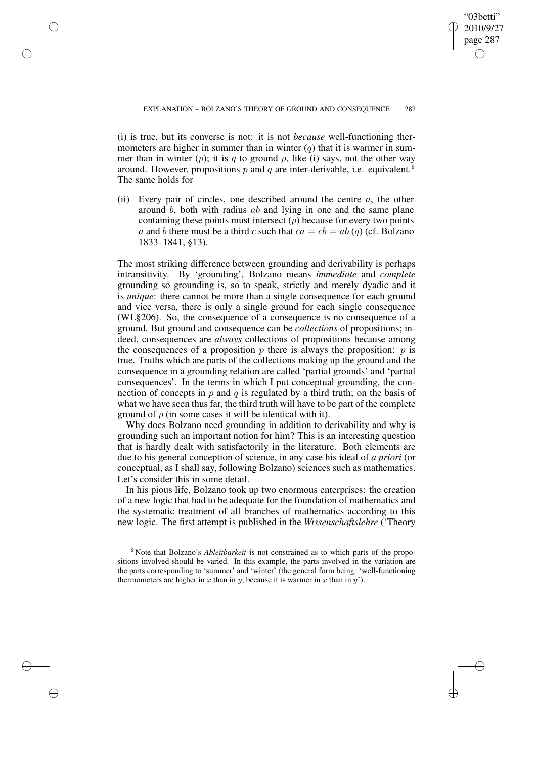✐

(i) is true, but its converse is not: it is not *because* well-functioning thermometers are higher in summer than in winter  $(q)$  that it is warmer in summer than in winter  $(p)$ ; it is q to ground p, like (i) says, not the other way around. However, propositions p and q are inter-derivable, i.e. equivalent.<sup>8</sup> The same holds for

✐

✐

✐

✐

(ii) Every pair of circles, one described around the centre  $a$ , the other around b, both with radius ab and lying in one and the same plane containing these points must intersect  $(p)$  because for every two points a and b there must be a third c such that  $ca = cb = ab(q)$  (cf. Bolzano 1833–1841, §13).

The most striking difference between grounding and derivability is perhaps intransitivity. By 'grounding', Bolzano means *immediate* and *complete* grounding so grounding is, so to speak, strictly and merely dyadic and it is *unique*: there cannot be more than a single consequence for each ground and vice versa, there is only a single ground for each single consequence (WL§206). So, the consequence of a consequence is no consequence of a ground. But ground and consequence can be *collections* of propositions; indeed, consequences are *always* collections of propositions because among the consequences of a proposition  $p$  there is always the proposition:  $p$  is true. Truths which are parts of the collections making up the ground and the consequence in a grounding relation are called 'partial grounds' and 'partial consequences'. In the terms in which I put conceptual grounding, the connection of concepts in p and q is regulated by a third truth; on the basis of what we have seen thus far, the third truth will have to be part of the complete ground of  $p$  (in some cases it will be identical with it).

Why does Bolzano need grounding in addition to derivability and why is grounding such an important notion for him? This is an interesting question that is hardly dealt with satisfactorily in the literature. Both elements are due to his general conception of science, in any case his ideal of *a priori* (or conceptual, as I shall say, following Bolzano) sciences such as mathematics. Let's consider this in some detail.

In his pious life, Bolzano took up two enormous enterprises: the creation of a new logic that had to be adequate for the foundation of mathematics and the systematic treatment of all branches of mathematics according to this new logic. The first attempt is published in the *Wissenschaftslehre* ('Theory

<sup>8</sup> Note that Bolzano's *Ableitbarkeit* is not constrained as to which parts of the propositions involved should be varied. In this example, the parts involved in the variation are the parts corresponding to 'summer' and 'winter' (the general form being: 'well-functioning thermometers are higher in x than in y, because it is warmer in x than in y').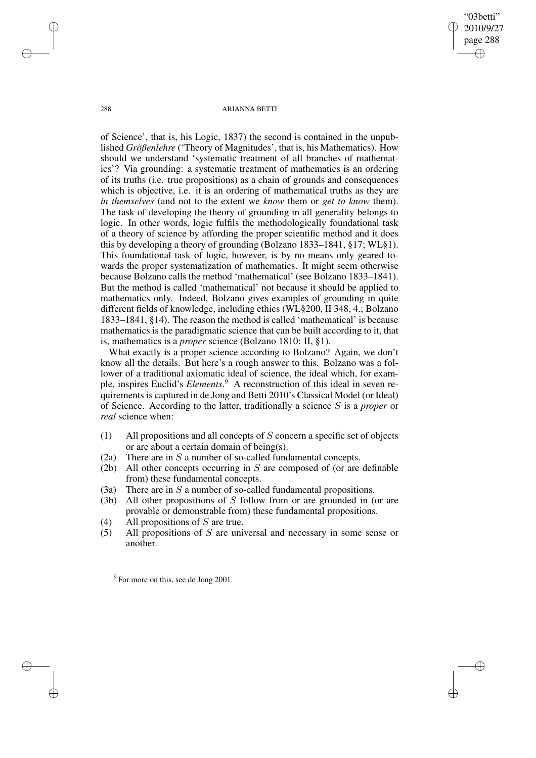"03betti" 2010/9/27 page 288 ✐ ✐

✐

✐

#### 288 ARIANNA BETTI

of Science', that is, his Logic, 1837) the second is contained in the unpublished *Größenlehre* ('Theory of Magnitudes', that is, his Mathematics). How should we understand 'systematic treatment of all branches of mathematics'? Via grounding: a systematic treatment of mathematics is an ordering of its truths (i.e. true propositions) as a chain of grounds and consequences which is objective, i.e. it is an ordering of mathematical truths as they are *in themselves* (and not to the extent we *know* them or *get to know* them). The task of developing the theory of grounding in all generality belongs to logic. In other words, logic fulfils the methodologically foundational task of a theory of science by affording the proper scientific method and it does this by developing a theory of grounding (Bolzano 1833–1841, §17; WL§1). This foundational task of logic, however, is by no means only geared towards the proper systematization of mathematics. It might seem otherwise because Bolzano calls the method 'mathematical' (see Bolzano 1833–1841). But the method is called 'mathematical' not because it should be applied to mathematics only. Indeed, Bolzano gives examples of grounding in quite different fields of knowledge, including ethics (WL§200, II 348, 4.; Bolzano 1833–1841, §14). The reason the method is called 'mathematical' is because mathematics is the paradigmatic science that can be built according to it, that is, mathematics is a *proper* science (Bolzano 1810: II, §1).

What exactly is a proper science according to Bolzano? Again, we don't know all the details. But here's a rough answer to this. Bolzano was a follower of a traditional axiomatic ideal of science, the ideal which, for example, inspires Euclid's *Elements*. <sup>9</sup> A reconstruction of this ideal in seven requirements is captured in de Jong and Betti 2010's Classical Model (or Ideal) of Science. According to the latter, traditionally a science S is a *proper* or *real* science when:

- (1) All propositions and all concepts of  $S$  concern a specific set of objects or are about a certain domain of being(s).
- (2a) There are in  $S$  a number of so-called fundamental concepts.
- (2b) All other concepts occurring in S are composed of (or are definable from) these fundamental concepts.
- (3a) There are in S a number of so-called fundamental propositions.
- (3b) All other propositions of S follow from or are grounded in (or are provable or demonstrable from) these fundamental propositions.
- (4) All propositions of  $S$  are true.
- (5) All propositions of S are universal and necessary in some sense or another.

✐

✐

✐

 $9^9$  For more on this, see de Jong 2001.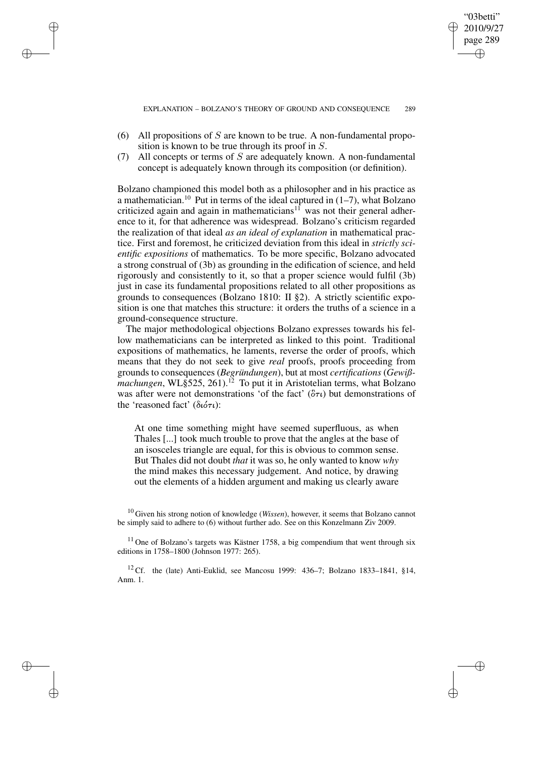"03betti" 2010/9/27 page 289

✐

✐

✐

✐

(6) All propositions of S are known to be true. A non-fundamental proposition is known to be true through its proof in S.

✐

✐

✐

✐

(7) All concepts or terms of  $S$  are adequately known. A non-fundamental concept is adequately known through its composition (or definition).

Bolzano championed this model both as a philosopher and in his practice as a mathematician.<sup>10</sup> Put in terms of the ideal captured in  $(1-7)$ , what Bolzano criticized again and again in mathematicians<sup>11</sup> was not their general adherence to it, for that adherence was widespread. Bolzano's criticism regarded the realization of that ideal *as an ideal of explanation* in mathematical practice. First and foremost, he criticized deviation from this ideal in *strictly scientific expositions* of mathematics. To be more specific, Bolzano advocated a strong construal of (3b) as grounding in the edification of science, and held rigorously and consistently to it, so that a proper science would fulfil (3b) just in case its fundamental propositions related to all other propositions as grounds to consequences (Bolzano 1810: II §2). A strictly scientific exposition is one that matches this structure: it orders the truths of a science in a ground-consequence structure.

The major methodological objections Bolzano expresses towards his fellow mathematicians can be interpreted as linked to this point. Traditional expositions of mathematics, he laments, reverse the order of proofs, which means that they do not seek to give *real* proofs, proofs proceeding from grounds to consequences (*Begründungen*), but at most *certifications* (*Gewißmachungen*, WL§525, 261).<sup>12</sup> To put it in Aristotelian terms, what Bolzano was after were not demonstrations 'of the fact'  $(\delta \tau \iota)$  but demonstrations of the 'reasoned fact' (διότι):

At one time something might have seemed superfluous, as when Thales [...] took much trouble to prove that the angles at the base of an isosceles triangle are equal, for this is obvious to common sense. But Thales did not doubt *that* it was so, he only wanted to know *why* the mind makes this necessary judgement. And notice, by drawing out the elements of a hidden argument and making us clearly aware

<sup>10</sup> Given his strong notion of knowledge (*Wissen*), however, it seems that Bolzano cannot be simply said to adhere to (6) without further ado. See on this Konzelmann Ziv 2009.

 $11$  One of Bolzano's targets was Kästner 1758, a big compendium that went through six editions in 1758–1800 (Johnson 1977: 265).

<sup>12</sup> Cf. the (late) Anti-Euklid, see Mancosu 1999: 436–7; Bolzano 1833–1841, §14, Anm. 1.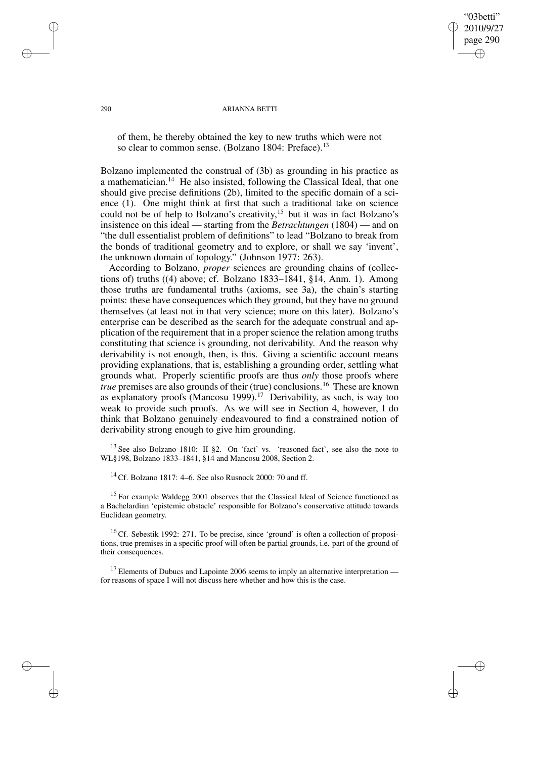# "03betti" 2010/9/27 page 290 ✐ ✐

✐

✐

#### 290 ARIANNA BETTI

of them, he thereby obtained the key to new truths which were not so clear to common sense. (Bolzano 1804: Preface).<sup>13</sup>

Bolzano implemented the construal of (3b) as grounding in his practice as a mathematician.<sup>14</sup> He also insisted, following the Classical Ideal, that one should give precise definitions (2b), limited to the specific domain of a science (1). One might think at first that such a traditional take on science could not be of help to Bolzano's creativity, <sup>15</sup> but it was in fact Bolzano's insistence on this ideal — starting from the *Betrachtungen* (1804) — and on "the dull essentialist problem of definitions" to lead "Bolzano to break from the bonds of traditional geometry and to explore, or shall we say 'invent', the unknown domain of topology." (Johnson 1977: 263).

According to Bolzano, *proper* sciences are grounding chains of (collections of) truths ((4) above; cf. Bolzano 1833–1841, §14, Anm. 1). Among those truths are fundamental truths (axioms, see 3a), the chain's starting points: these have consequences which they ground, but they have no ground themselves (at least not in that very science; more on this later). Bolzano's enterprise can be described as the search for the adequate construal and application of the requirement that in a proper science the relation among truths constituting that science is grounding, not derivability. And the reason why derivability is not enough, then, is this. Giving a scientific account means providing explanations, that is, establishing a grounding order, settling what grounds what. Properly scientific proofs are thus *only* those proofs where *true* premises are also grounds of their (true) conclusions.<sup>16</sup> These are known as explanatory proofs (Mancosu 1999).<sup>17</sup> Derivability, as such, is way too weak to provide such proofs. As we will see in Section 4, however, I do think that Bolzano genuinely endeavoured to find a constrained notion of derivability strong enough to give him grounding.

<sup>13</sup> See also Bolzano 1810: II §2. On 'fact' vs. 'reasoned fact', see also the note to WL§198, Bolzano 1833–1841, §14 and Mancosu 2008, Section 2.

<sup>14</sup> Cf. Bolzano 1817: 4–6. See also Rusnock 2000: 70 and ff.

<sup>15</sup> For example Waldegg 2001 observes that the Classical Ideal of Science functioned as a Bachelardian 'epistemic obstacle' responsible for Bolzano's conservative attitude towards Euclidean geometry.

 $16$  Cf. Sebestik 1992: 271. To be precise, since 'ground' is often a collection of propositions, true premises in a specific proof will often be partial grounds, i.e. part of the ground of their consequences.

 $17$  Elements of Dubucs and Lapointe 2006 seems to imply an alternative interpretation for reasons of space I will not discuss here whether and how this is the case.

✐

✐

✐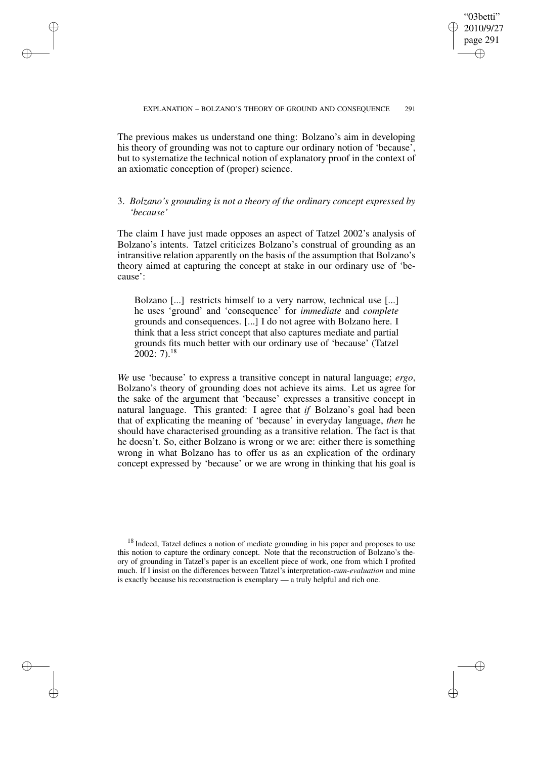✐

The previous makes us understand one thing: Bolzano's aim in developing his theory of grounding was not to capture our ordinary notion of 'because', but to systematize the technical notion of explanatory proof in the context of an axiomatic conception of (proper) science.

✐

✐

✐

✐

# 3. *Bolzano's grounding is not a theory of the ordinary concept expressed by 'because'*

The claim I have just made opposes an aspect of Tatzel 2002's analysis of Bolzano's intents. Tatzel criticizes Bolzano's construal of grounding as an intransitive relation apparently on the basis of the assumption that Bolzano's theory aimed at capturing the concept at stake in our ordinary use of 'because':

Bolzano [...] restricts himself to a very narrow, technical use [...] he uses 'ground' and 'consequence' for *immediate* and *complete* grounds and consequences. [...] I do not agree with Bolzano here. I think that a less strict concept that also captures mediate and partial grounds fits much better with our ordinary use of 'because' (Tatzel  $2002:7$ <sup>18</sup>

*We* use 'because' to express a transitive concept in natural language; *ergo*, Bolzano's theory of grounding does not achieve its aims. Let us agree for the sake of the argument that 'because' expresses a transitive concept in natural language. This granted: I agree that *if* Bolzano's goal had been that of explicating the meaning of 'because' in everyday language, *then* he should have characterised grounding as a transitive relation. The fact is that he doesn't. So, either Bolzano is wrong or we are: either there is something wrong in what Bolzano has to offer us as an explication of the ordinary concept expressed by 'because' or we are wrong in thinking that his goal is

 $18$  Indeed, Tatzel defines a notion of mediate grounding in his paper and proposes to use this notion to capture the ordinary concept. Note that the reconstruction of Bolzano's theory of grounding in Tatzel's paper is an excellent piece of work, one from which I profited much. If I insist on the differences between Tatzel's interpretation-*cum-evaluation* and mine is exactly because his reconstruction is exemplary — a truly helpful and rich one.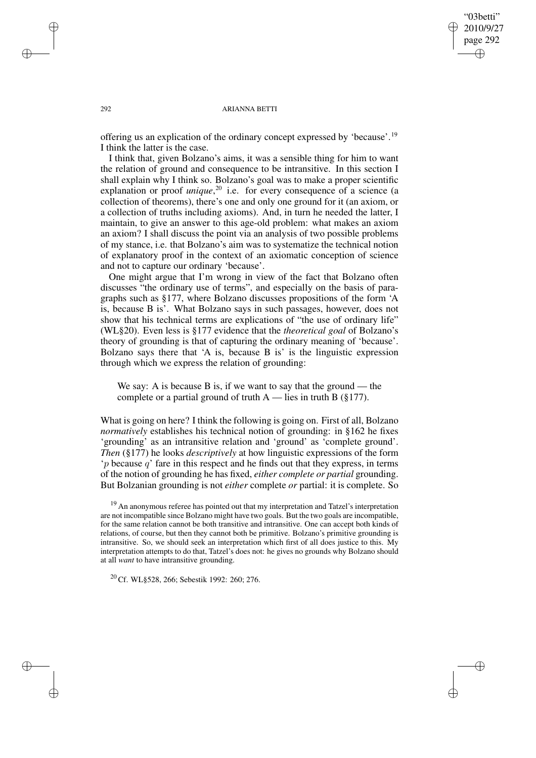"03betti" 2010/9/27 page 292 ✐ ✐

✐

✐

#### 292 ARIANNA BETTI

offering us an explication of the ordinary concept expressed by 'because'.<sup>19</sup> I think the latter is the case.

I think that, given Bolzano's aims, it was a sensible thing for him to want the relation of ground and consequence to be intransitive. In this section I shall explain why I think so. Bolzano's goal was to make a proper scientific explanation or proof *unique*,<sup>20</sup> i.e. for every consequence of a science (a collection of theorems), there's one and only one ground for it (an axiom, or a collection of truths including axioms). And, in turn he needed the latter, I maintain, to give an answer to this age-old problem: what makes an axiom an axiom? I shall discuss the point via an analysis of two possible problems of my stance, i.e. that Bolzano's aim was to systematize the technical notion of explanatory proof in the context of an axiomatic conception of science and not to capture our ordinary 'because'.

One might argue that I'm wrong in view of the fact that Bolzano often discusses "the ordinary use of terms", and especially on the basis of paragraphs such as §177, where Bolzano discusses propositions of the form 'A is, because B is'. What Bolzano says in such passages, however, does not show that his technical terms are explications of "the use of ordinary life" (WL§20). Even less is §177 evidence that the *theoretical goal* of Bolzano's theory of grounding is that of capturing the ordinary meaning of 'because'. Bolzano says there that 'A is, because B is' is the linguistic expression through which we express the relation of grounding:

We say: A is because B is, if we want to say that the ground — the complete or a partial ground of truth  $A$  — lies in truth B (§177).

What is going on here? I think the following is going on. First of all, Bolzano *normatively* establishes his technical notion of grounding: in §162 he fixes 'grounding' as an intransitive relation and 'ground' as 'complete ground'. *Then* (§177) he looks *descriptively* at how linguistic expressions of the form  $\gamma$  because  $q'$  fare in this respect and he finds out that they express, in terms of the notion of grounding he has fixed, *either complete or partial* grounding. But Bolzanian grounding is not *either* complete *or* partial: it is complete. So

<sup>19</sup> An anonymous referee has pointed out that my interpretation and Tatzel's interpretation are not incompatible since Bolzano might have two goals. But the two goals are incompatible, for the same relation cannot be both transitive and intransitive. One can accept both kinds of relations, of course, but then they cannot both be primitive. Bolzano's primitive grounding is intransitive. So, we should seek an interpretation which first of all does justice to this. My interpretation attempts to do that, Tatzel's does not: he gives no grounds why Bolzano should at all *want* to have intransitive grounding.

<sup>20</sup> Cf. WL§528, 266; Sebestik 1992: 260; 276.

✐

✐

✐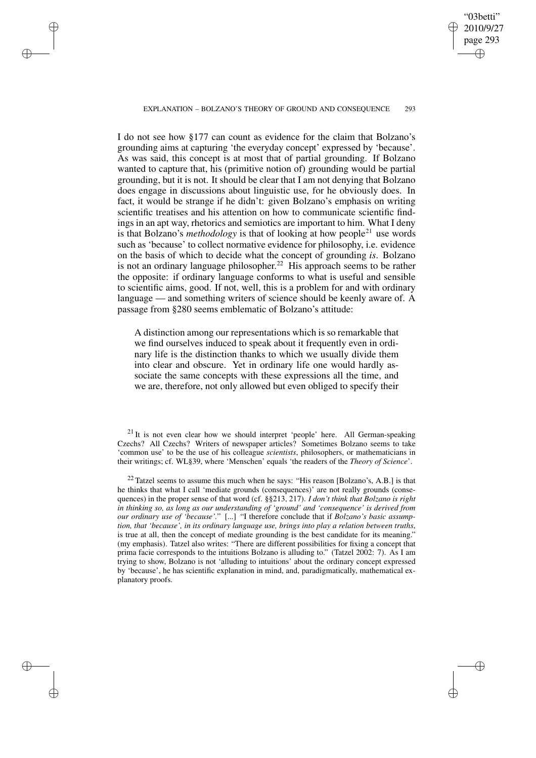✐

### EXPLANATION – BOLZANO'S THEORY OF GROUND AND CONSEQUENCE 293

✐

✐

✐

✐

I do not see how §177 can count as evidence for the claim that Bolzano's grounding aims at capturing 'the everyday concept' expressed by 'because'. As was said, this concept is at most that of partial grounding. If Bolzano wanted to capture that, his (primitive notion of) grounding would be partial grounding, but it is not. It should be clear that I am not denying that Bolzano does engage in discussions about linguistic use, for he obviously does. In fact, it would be strange if he didn't: given Bolzano's emphasis on writing scientific treatises and his attention on how to communicate scientific findings in an apt way, rhetorics and semiotics are important to him. What I deny is that Bolzano's *methodology* is that of looking at how people<sup>21</sup> use words such as 'because' to collect normative evidence for philosophy, i.e. evidence on the basis of which to decide what the concept of grounding *is*. Bolzano is not an ordinary language philosopher.<sup>22</sup> His approach seems to be rather the opposite: if ordinary language conforms to what is useful and sensible to scientific aims, good. If not, well, this is a problem for and with ordinary language — and something writers of science should be keenly aware of. A passage from §280 seems emblematic of Bolzano's attitude:

A distinction among our representations which is so remarkable that we find ourselves induced to speak about it frequently even in ordinary life is the distinction thanks to which we usually divide them into clear and obscure. Yet in ordinary life one would hardly associate the same concepts with these expressions all the time, and we are, therefore, not only allowed but even obliged to specify their

 $21$  It is not even clear how we should interpret 'people' here. All German-speaking Czechs? All Czechs? Writers of newspaper articles? Sometimes Bolzano seems to take 'common use' to be the use of his colleague *scientists*, philosophers, or mathematicians in their writings; cf. WL§39, where 'Menschen' equals 'the readers of the *Theory of Science*'.

 $22$  Tatzel seems to assume this much when he says: "His reason [Bolzano's, A.B.] is that he thinks that what I call 'mediate grounds (consequences)' are not really grounds (consequences) in the proper sense of that word (cf. §§213, 217). *I don't think that Bolzano is right in thinking so, as long as our understanding of 'ground' and 'consequence' is derived from our ordinary use of 'because'.*" [...] "I therefore conclude that if *Bolzano's basic assumption, that 'because', in its ordinary language use, brings into play a relation between truths*, is true at all, then the concept of mediate grounding is the best candidate for its meaning." (my emphasis). Tatzel also writes: "There are different possibilities for fixing a concept that prima facie corresponds to the intuitions Bolzano is alluding to." (Tatzel 2002: 7). As I am trying to show, Bolzano is not 'alluding to intuitions' about the ordinary concept expressed by 'because', he has scientific explanation in mind, and, paradigmatically, mathematical explanatory proofs.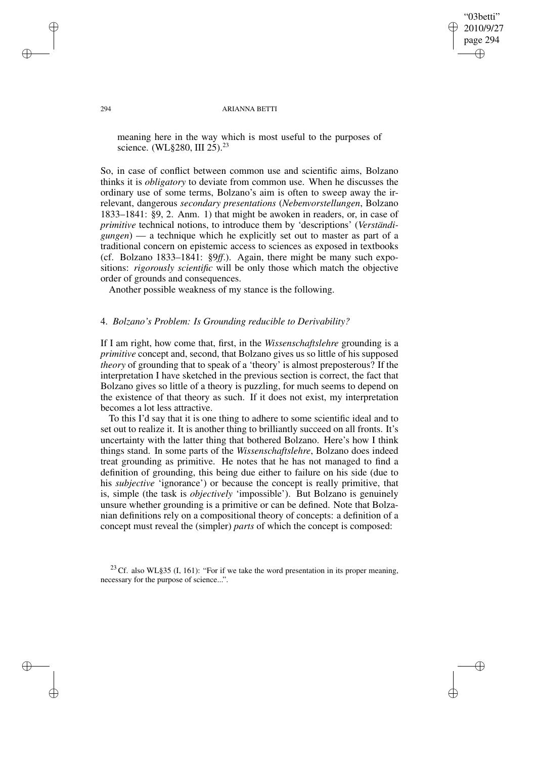"03betti" 2010/9/27 page 294 ✐ ✐

✐

✐

#### 294 ARIANNA BETTI

meaning here in the way which is most useful to the purposes of science. (WL§280, III 25).<sup>23</sup>

So, in case of conflict between common use and scientific aims, Bolzano thinks it is *obligatory* to deviate from common use. When he discusses the ordinary use of some terms, Bolzano's aim is often to sweep away the irrelevant, dangerous *secondary presentations* (*Nebenvorstellungen*, Bolzano 1833–1841: §9, 2. Anm. 1) that might be awoken in readers, or, in case of *primitive* technical notions, to introduce them by 'descriptions' (*Verständigungen*) — a technique which he explicitly set out to master as part of a traditional concern on epistemic access to sciences as exposed in textbooks (cf. Bolzano 1833–1841: §9*ff*.). Again, there might be many such expositions: *rigorously scientific* will be only those which match the objective order of grounds and consequences.

Another possible weakness of my stance is the following.

# 4. *Bolzano's Problem: Is Grounding reducible to Derivability?*

If I am right, how come that, first, in the *Wissenschaftslehre* grounding is a *primitive* concept and, second, that Bolzano gives us so little of his supposed *theory* of grounding that to speak of a 'theory' is almost preposterous? If the interpretation I have sketched in the previous section is correct, the fact that Bolzano gives so little of a theory is puzzling, for much seems to depend on the existence of that theory as such. If it does not exist, my interpretation becomes a lot less attractive.

To this I'd say that it is one thing to adhere to some scientific ideal and to set out to realize it. It is another thing to brilliantly succeed on all fronts. It's uncertainty with the latter thing that bothered Bolzano. Here's how I think things stand. In some parts of the *Wissenschaftslehre*, Bolzano does indeed treat grounding as primitive. He notes that he has not managed to find a definition of grounding, this being due either to failure on his side (due to his *subjective* 'ignorance') or because the concept is really primitive, that is, simple (the task is *objectively* 'impossible'). But Bolzano is genuinely unsure whether grounding is a primitive or can be defined. Note that Bolzanian definitions rely on a compositional theory of concepts: a definition of a concept must reveal the (simpler) *parts* of which the concept is composed:

<sup>23</sup> Cf. also WL§35 (I, 161): "For if we take the word presentation in its proper meaning, necessary for the purpose of science...".

✐

✐

✐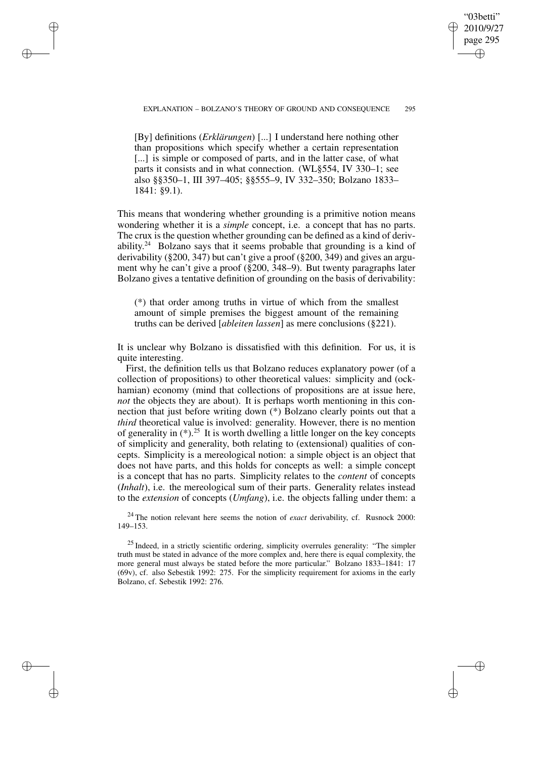EXPLANATION – BOLZANO'S THEORY OF GROUND AND CONSEQUENCE 295

"03betti" 2010/9/27 page 295

✐

✐

✐

✐

[By] definitions (*Erklärungen*) [...] I understand here nothing other than propositions which specify whether a certain representation [...] is simple or composed of parts, and in the latter case, of what parts it consists and in what connection. (WL§554, IV 330–1; see also §§350–1, III 397–405; §§555–9, IV 332–350; Bolzano 1833– 1841: §9.1).

✐

✐

✐

✐

This means that wondering whether grounding is a primitive notion means wondering whether it is a *simple* concept, i.e. a concept that has no parts. The crux is the question whether grounding can be defined as a kind of derivability. $24$  Bolzano says that it seems probable that grounding is a kind of derivability (§200, 347) but can't give a proof (§200, 349) and gives an argument why he can't give a proof (§200, 348–9). But twenty paragraphs later Bolzano gives a tentative definition of grounding on the basis of derivability:

(\*) that order among truths in virtue of which from the smallest amount of simple premises the biggest amount of the remaining truths can be derived [*ableiten lassen*] as mere conclusions (§221).

It is unclear why Bolzano is dissatisfied with this definition. For us, it is quite interesting.

First, the definition tells us that Bolzano reduces explanatory power (of a collection of propositions) to other theoretical values: simplicity and (ockhamian) economy (mind that collections of propositions are at issue here, *not* the objects they are about). It is perhaps worth mentioning in this connection that just before writing down (\*) Bolzano clearly points out that a *third* theoretical value is involved: generality. However, there is no mention of generality in  $(*).^{25}$  It is worth dwelling a little longer on the key concepts of simplicity and generality, both relating to (extensional) qualities of concepts. Simplicity is a mereological notion: a simple object is an object that does not have parts, and this holds for concepts as well: a simple concept is a concept that has no parts. Simplicity relates to the *content* of concepts (*Inhalt*), i.e. the mereological sum of their parts. Generality relates instead to the *extension* of concepts (*Umfang*), i.e. the objects falling under them: a

<sup>24</sup> The notion relevant here seems the notion of *exact* derivability, cf. Rusnock 2000: 149–153.

<sup>25</sup> Indeed, in a strictly scientific ordering, simplicity overrules generality: "The simpler truth must be stated in advance of the more complex and, here there is equal complexity, the more general must always be stated before the more particular." Bolzano 1833–1841: 17 (69v), cf. also Sebestik 1992: 275. For the simplicity requirement for axioms in the early Bolzano, cf. Sebestik 1992: 276.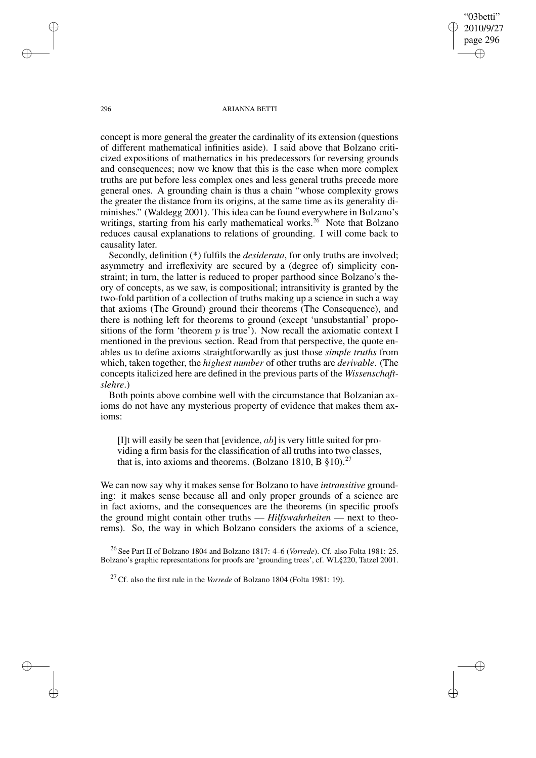"03betti" 2010/9/27 page 296 ✐ ✐

✐

✐

#### 296 ARIANNA BETTI

concept is more general the greater the cardinality of its extension (questions of different mathematical infinities aside). I said above that Bolzano criticized expositions of mathematics in his predecessors for reversing grounds and consequences; now we know that this is the case when more complex truths are put before less complex ones and less general truths precede more general ones. A grounding chain is thus a chain "whose complexity grows the greater the distance from its origins, at the same time as its generality diminishes." (Waldegg 2001). This idea can be found everywhere in Bolzano's writings, starting from his early mathematical works.<sup>26</sup> Note that Bolzano reduces causal explanations to relations of grounding. I will come back to causality later.

Secondly, definition (\*) fulfils the *desiderata*, for only truths are involved; asymmetry and irreflexivity are secured by a (degree of) simplicity constraint; in turn, the latter is reduced to proper parthood since Bolzano's theory of concepts, as we saw, is compositional; intransitivity is granted by the two-fold partition of a collection of truths making up a science in such a way that axioms (The Ground) ground their theorems (The Consequence), and there is nothing left for theorems to ground (except 'unsubstantial' propositions of the form 'theorem  $p$  is true'). Now recall the axiomatic context I mentioned in the previous section. Read from that perspective, the quote enables us to define axioms straightforwardly as just those *simple truths* from which, taken together, the *highest number* of other truths are *derivable*. (The concepts italicized here are defined in the previous parts of the *Wissenschaftslehre*.)

Both points above combine well with the circumstance that Bolzanian axioms do not have any mysterious property of evidence that makes them axioms:

[I]t will easily be seen that [evidence,  $ab$ ] is very little suited for providing a firm basis for the classification of all truths into two classes, that is, into axioms and theorems. (Bolzano 1810, B  $\S$ 10).<sup>27</sup>

We can now say why it makes sense for Bolzano to have *intransitive* grounding: it makes sense because all and only proper grounds of a science are in fact axioms, and the consequences are the theorems (in specific proofs the ground might contain other truths — *Hilfswahrheiten* — next to theorems). So, the way in which Bolzano considers the axioms of a science,

<sup>26</sup> See Part II of Bolzano 1804 and Bolzano 1817: 4–6 (*Vorrede*). Cf. also Folta 1981: 25. Bolzano's graphic representations for proofs are 'grounding trees', cf. WL§220, Tatzel 2001.

<sup>27</sup> Cf. also the first rule in the *Vorrede* of Bolzano 1804 (Folta 1981: 19).

✐

✐

✐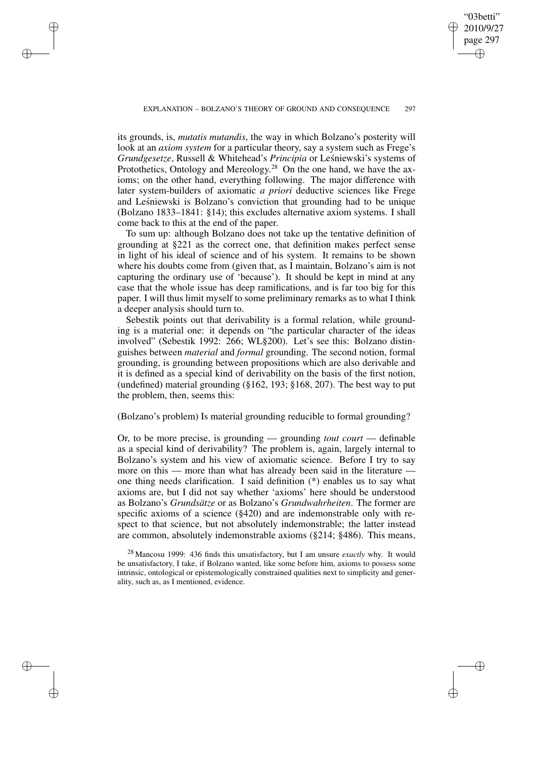✐

✐

✐

"03betti" 2010/9/27 page 297

✐

✐

✐

✐

its grounds, is, *mutatis mutandis*, the way in which Bolzano's posterity will look at an *axiom system* for a particular theory, say a system such as Frege's *Grundgesetze*, Russell & Whitehead's *Principia* or Leśniewski's systems of Protothetics, Ontology and Mereology.<sup>28</sup> On the one hand, we have the axioms; on the other hand, everything following. The major difference with later system-builders of axiomatic *a priori* deductive sciences like Frege and Lesniewski is Bolzano's conviction that grounding had to be unique (Bolzano 1833–1841: §14); this excludes alternative axiom systems. I shall come back to this at the end of the paper.

To sum up: although Bolzano does not take up the tentative definition of grounding at §221 as the correct one, that definition makes perfect sense in light of his ideal of science and of his system. It remains to be shown where his doubts come from (given that, as I maintain, Bolzano's aim is not capturing the ordinary use of 'because'). It should be kept in mind at any case that the whole issue has deep ramifications, and is far too big for this paper. I will thus limit myself to some preliminary remarks as to what I think a deeper analysis should turn to.

Sebestik points out that derivability is a formal relation, while grounding is a material one: it depends on "the particular character of the ideas involved" (Sebestik 1992: 266; WL§200). Let's see this: Bolzano distinguishes between *material* and *formal* grounding. The second notion, formal grounding, is grounding between propositions which are also derivable and it is defined as a special kind of derivability on the basis of the first notion, (undefined) material grounding  $(\S162, 193; \S168, 207)$ . The best way to put the problem, then, seems this:

## (Bolzano's problem) Is material grounding reducible to formal grounding?

Or, to be more precise, is grounding — grounding *tout court* — definable as a special kind of derivability? The problem is, again, largely internal to Bolzano's system and his view of axiomatic science. Before I try to say more on this — more than what has already been said in the literature one thing needs clarification. I said definition (\*) enables us to say what axioms are, but I did not say whether 'axioms' here should be understood as Bolzano's *Grundsätze* or as Bolzano's *Grundwahrheiten*. The former are specific axioms of a science (§420) and are indemonstrable only with respect to that science, but not absolutely indemonstrable; the latter instead are common, absolutely indemonstrable axioms (§214; §486). This means,

<sup>28</sup> Mancosu 1999: 436 finds this unsatisfactory, but I am unsure *exactly* why. It would be unsatisfactory, I take, if Bolzano wanted, like some before him, axioms to possess some intrinsic, ontological or epistemologically constrained qualities next to simplicity and generality, such as, as I mentioned, evidence.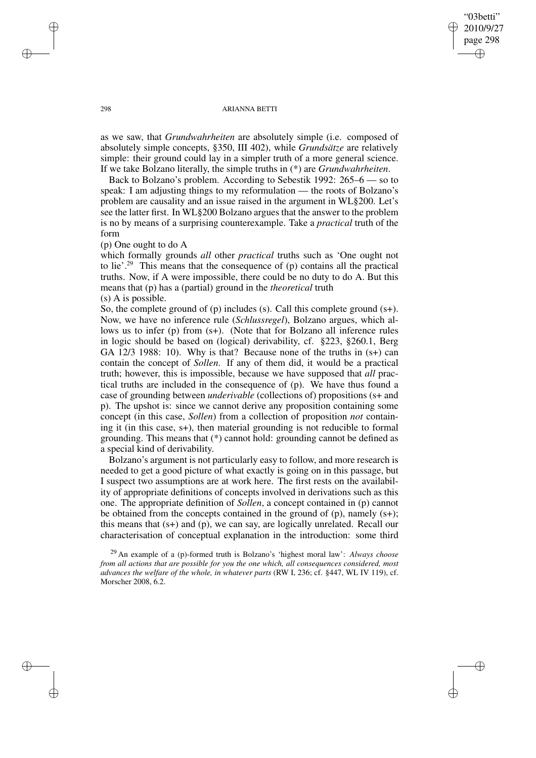"03betti" 2010/9/27 page 298 ✐ ✐

✐

✐

#### 298 ARIANNA BETTI

as we saw, that *Grundwahrheiten* are absolutely simple (i.e. composed of absolutely simple concepts, §350, III 402), while *Grundsätze* are relatively simple: their ground could lay in a simpler truth of a more general science. If we take Bolzano literally, the simple truths in (\*) are *Grundwahrheiten*.

Back to Bolzano's problem. According to Sebestik 1992: 265–6 — so to speak: I am adjusting things to my reformulation — the roots of Bolzano's problem are causality and an issue raised in the argument in WL§200. Let's see the latter first. In WL§200 Bolzano argues that the answer to the problem is no by means of a surprising counterexample. Take a *practical* truth of the form

(p) One ought to do A

which formally grounds *all* other *practical* truths such as 'One ought not to lie'.<sup>29</sup> This means that the consequence of (p) contains all the practical truths. Now, if A were impossible, there could be no duty to do A. But this means that (p) has a (partial) ground in the *theoretical* truth (s) A is possible.

So, the complete ground of (p) includes (s). Call this complete ground (s+). Now, we have no inference rule (*Schlussregel*), Bolzano argues, which allows us to infer (p) from (s+). (Note that for Bolzano all inference rules in logic should be based on (logical) derivability, cf. §223, §260.1, Berg GA 12/3 1988: 10). Why is that? Because none of the truths in (s+) can contain the concept of *Sollen*. If any of them did, it would be a practical truth; however, this is impossible, because we have supposed that *all* practical truths are included in the consequence of (p). We have thus found a case of grounding between *underivable* (collections of) propositions (s+ and p). The upshot is: since we cannot derive any proposition containing some concept (in this case, *Sollen*) from a collection of proposition *not* containing it (in this case, s+), then material grounding is not reducible to formal grounding. This means that (\*) cannot hold: grounding cannot be defined as a special kind of derivability.

Bolzano's argument is not particularly easy to follow, and more research is needed to get a good picture of what exactly is going on in this passage, but I suspect two assumptions are at work here. The first rests on the availability of appropriate definitions of concepts involved in derivations such as this one. The appropriate definition of *Sollen*, a concept contained in (p) cannot be obtained from the concepts contained in the ground of  $(p)$ , namely  $(s+)$ ; this means that (s+) and (p), we can say, are logically unrelated. Recall our characterisation of conceptual explanation in the introduction: some third

<sup>29</sup> An example of a (p)-formed truth is Bolzano's 'highest moral law': *Always choose from all actions that are possible for you the one which, all consequences considered, most advances the welfare of the whole, in whatever parts* (RW I, 236; cf. §447, WL IV 119), cf. Morscher 2008, 6.2.

✐

✐

✐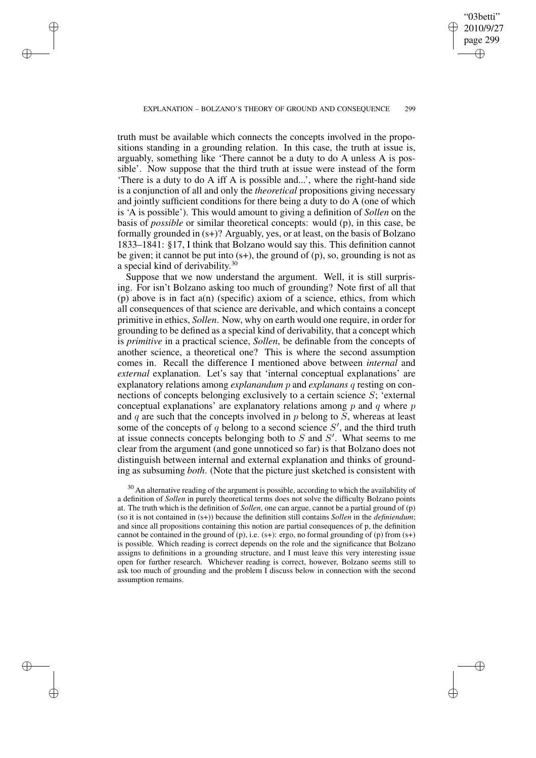✐

✐

✐

✐

✐

truth must be available which connects the concepts involved in the propositions standing in a grounding relation. In this case, the truth at issue is, arguably, something like 'There cannot be a duty to do A unless A is possible'. Now suppose that the third truth at issue were instead of the form 'There is a duty to do A iff A is possible and...', where the right-hand side is a conjunction of all and only the *theoretical* propositions giving necessary and jointly sufficient conditions for there being a duty to do A (one of which is 'A is possible'). This would amount to giving a definition of *Sollen* on the basis of *possible* or similar theoretical concepts: would (p), in this case, be formally grounded in (s+)? Arguably, yes, or at least, on the basis of Bolzano 1833–1841: §17, I think that Bolzano would say this. This definition cannot be given; it cannot be put into  $(s+)$ , the ground of  $(p)$ , so, grounding is not as a special kind of derivability.<sup>30</sup>

Suppose that we now understand the argument. Well, it is still surprising. For isn't Bolzano asking too much of grounding? Note first of all that (p) above is in fact a(n) (specific) axiom of a science, ethics, from which all consequences of that science are derivable, and which contains a concept primitive in ethics, *Sollen*. Now, why on earth would one require, in order for grounding to be defined as a special kind of derivability, that a concept which is *primitive* in a practical science, *Sollen*, be definable from the concepts of another science, a theoretical one? This is where the second assumption comes in. Recall the difference I mentioned above between *internal* and *external* explanation. Let's say that 'internal conceptual explanations' are explanatory relations among *explanandum* p and *explanans* q resting on connections of concepts belonging exclusively to a certain science S; 'external conceptual explanations' are explanatory relations among  $p$  and  $q$  where  $p$ and  $q$  are such that the concepts involved in  $p$  belong to  $S$ , whereas at least some of the concepts of q belong to a second science  $S'$ , and the third truth at issue connects concepts belonging both to  $S$  and  $S'$ . What seems to me clear from the argument (and gone unnoticed so far) is that Bolzano does not distinguish between internal and external explanation and thinks of grounding as subsuming *both*. (Note that the picture just sketched is consistent with

 $30$  An alternative reading of the argument is possible, according to which the availability of a definition of *Sollen* in purely theoretical terms does not solve the difficulty Bolzano points at. The truth which is the definition of *Sollen*, one can argue, cannot be a partial ground of (p) (so it is not contained in (s+)) because the definition still contains *Sollen* in the *definiendum*; and since all propositions containing this notion are partial consequences of p, the definition cannot be contained in the ground of  $(p)$ , i.e.  $(s+)$ : ergo, no formal grounding of  $(p)$  from  $(s+)$ is possible. Which reading is correct depends on the role and the significance that Bolzano assigns to definitions in a grounding structure, and I must leave this very interesting issue open for further research. Whichever reading is correct, however, Bolzano seems still to ask too much of grounding and the problem I discuss below in connection with the second assumption remains.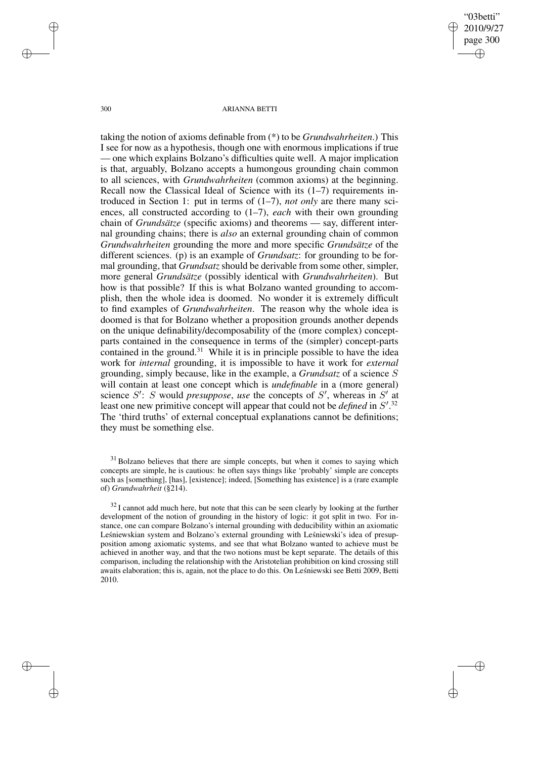"03betti" 2010/9/27 page 300 ✐ ✐

✐

✐

#### 300 ARIANNA BETTI

taking the notion of axioms definable from (\*) to be *Grundwahrheiten*.) This I see for now as a hypothesis, though one with enormous implications if true — one which explains Bolzano's difficulties quite well. A major implication is that, arguably, Bolzano accepts a humongous grounding chain common to all sciences, with *Grundwahrheiten* (common axioms) at the beginning. Recall now the Classical Ideal of Science with its  $(1-7)$  requirements introduced in Section 1: put in terms of (1–7), *not only* are there many sciences, all constructed according to (1–7), *each* with their own grounding chain of *Grundsätze* (specific axioms) and theorems — say, different internal grounding chains; there is *also* an external grounding chain of common *Grundwahrheiten* grounding the more and more specific *Grundsätze* of the different sciences. (p) is an example of *Grundsatz*: for grounding to be formal grounding, that *Grundsatz* should be derivable from some other, simpler, more general *Grundsätze* (possibly identical with *Grundwahrheiten*). But how is that possible? If this is what Bolzano wanted grounding to accomplish, then the whole idea is doomed. No wonder it is extremely difficult to find examples of *Grundwahrheiten*. The reason why the whole idea is doomed is that for Bolzano whether a proposition grounds another depends on the unique definability/decomposability of the (more complex) conceptparts contained in the consequence in terms of the (simpler) concept-parts contained in the ground.<sup>31</sup> While it is in principle possible to have the idea work for *internal* grounding, it is impossible to have it work for *external* grounding, simply because, like in the example, a *Grundsatz* of a science S will contain at least one concept which is *undefinable* in a (more general) science  $S'$ : S would *presuppose*, *use* the concepts of  $S'$ , whereas in  $S'$  at least one new primitive concept will appear that could not be *defined* in  $S'$ .<sup>32</sup> The 'third truths' of external conceptual explanations cannot be definitions; they must be something else.

✐

✐

✐

<sup>&</sup>lt;sup>31</sup> Bolzano believes that there are simple concepts, but when it comes to saying which concepts are simple, he is cautious: he often says things like 'probably' simple are concepts such as [something], [has], [existence]; indeed, [Something has existence] is a (rare example of) *Grundwahrheit* (§214).

 $32$  I cannot add much here, but note that this can be seen clearly by looking at the further development of the notion of grounding in the history of logic: it got split in two. For instance, one can compare Bolzano's internal grounding with deducibility within an axiomatic Leśniewskian system and Bolzano's external grounding with Leśniewski's idea of presupposition among axiomatic systems, and see that what Bolzano wanted to achieve must be achieved in another way, and that the two notions must be kept separate. The details of this comparison, including the relationship with the Aristotelian prohibition on kind crossing still awaits elaboration; this is, again, not the place to do this. On Leśniewski see Betti 2009, Betti 2010.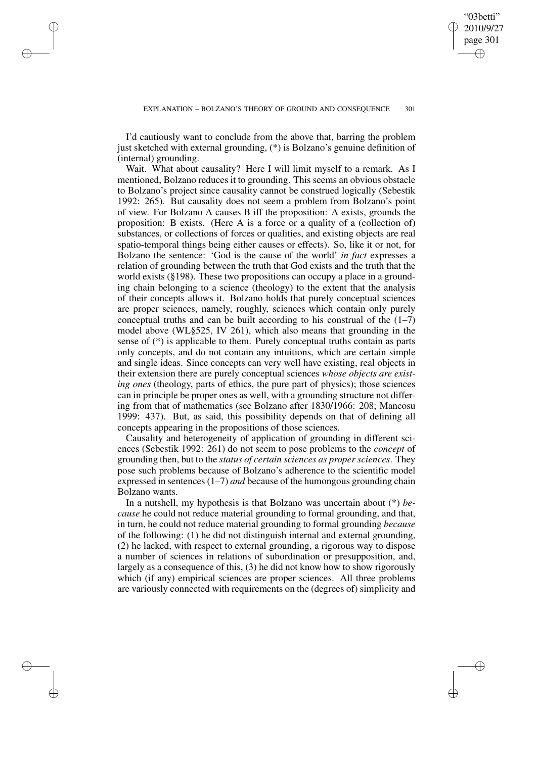✐

I'd cautiously want to conclude from the above that, barring the problem just sketched with external grounding, (\*) is Bolzano's genuine definition of (internal) grounding.

✐

✐

✐

✐

Wait. What about causality? Here I will limit myself to a remark. As I mentioned, Bolzano reduces it to grounding. This seems an obvious obstacle to Bolzano's project since causality cannot be construed logically (Sebestik 1992: 265). But causality does not seem a problem from Bolzano's point of view. For Bolzano A causes B iff the proposition: A exists, grounds the proposition: B exists. (Here A is a force or a quality of a (collection of) substances, or collections of forces or qualities, and existing objects are real spatio-temporal things being either causes or effects). So, like it or not, for Bolzano the sentence: 'God is the cause of the world' *in fact* expresses a relation of grounding between the truth that God exists and the truth that the world exists (§198). These two propositions can occupy a place in a grounding chain belonging to a science (theology) to the extent that the analysis of their concepts allows it. Bolzano holds that purely conceptual sciences are proper sciences, namely, roughly, sciences which contain only purely conceptual truths and can be built according to his construal of the  $(1-7)$ model above (WL§525, IV 261), which also means that grounding in the sense of (\*) is applicable to them. Purely conceptual truths contain as parts only concepts, and do not contain any intuitions, which are certain simple and single ideas. Since concepts can very well have existing, real objects in their extension there are purely conceptual sciences *whose objects are existing ones* (theology, parts of ethics, the pure part of physics); those sciences can in principle be proper ones as well, with a grounding structure not differing from that of mathematics (see Bolzano after 1830/1966: 208; Mancosu 1999: 437). But, as said, this possibility depends on that of defining all concepts appearing in the propositions of those sciences.

Causality and heterogeneity of application of grounding in different sciences (Sebestik 1992: 261) do not seem to pose problems to the *concept* of grounding then, but to the *status of certain sciences as proper sciences*. They pose such problems because of Bolzano's adherence to the scientific model expressed in sentences (1–7) *and* because of the humongous grounding chain Bolzano wants.

In a nutshell, my hypothesis is that Bolzano was uncertain about (\*) *because* he could not reduce material grounding to formal grounding, and that, in turn, he could not reduce material grounding to formal grounding *because* of the following: (1) he did not distinguish internal and external grounding, (2) he lacked, with respect to external grounding, a rigorous way to dispose a number of sciences in relations of subordination or presupposition, and, largely as a consequence of this, (3) he did not know how to show rigorously which (if any) empirical sciences are proper sciences. All three problems are variously connected with requirements on the (degrees of) simplicity and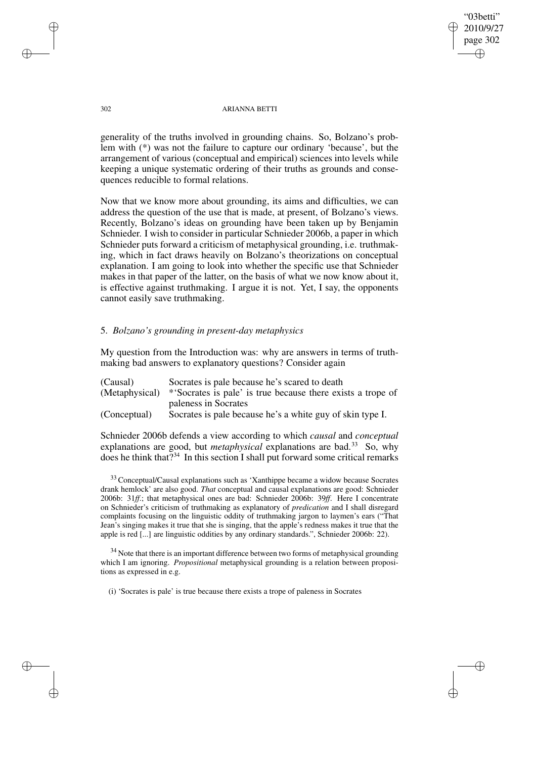"03betti" 2010/9/27 page 302 ✐ ✐

✐

✐

## 302 ARIANNA BETTI

generality of the truths involved in grounding chains. So, Bolzano's problem with (\*) was not the failure to capture our ordinary 'because', but the arrangement of various (conceptual and empirical) sciences into levels while keeping a unique systematic ordering of their truths as grounds and consequences reducible to formal relations.

Now that we know more about grounding, its aims and difficulties, we can address the question of the use that is made, at present, of Bolzano's views. Recently, Bolzano's ideas on grounding have been taken up by Benjamin Schnieder. I wish to consider in particular Schnieder 2006b, a paper in which Schnieder puts forward a criticism of metaphysical grounding, i.e. truthmaking, which in fact draws heavily on Bolzano's theorizations on conceptual explanation. I am going to look into whether the specific use that Schnieder makes in that paper of the latter, on the basis of what we now know about it, is effective against truthmaking. I argue it is not. Yet, I say, the opponents cannot easily save truthmaking.

## 5. *Bolzano's grounding in present-day metaphysics*

My question from the Introduction was: why are answers in terms of truthmaking bad answers to explanatory questions? Consider again

| (Causal)       | Socrates is pale because he's scared to death              |  |  |  |  |  |  |
|----------------|------------------------------------------------------------|--|--|--|--|--|--|
| (Metaphysical) | *Socrates is pale' is true because there exists a trope of |  |  |  |  |  |  |
|                | paleness in Socrates                                       |  |  |  |  |  |  |
| (Conceptual)   | Socrates is pale because he's a white guy of skin type I.  |  |  |  |  |  |  |

Schnieder 2006b defends a view according to which *causal* and *conceptual* explanations are good, but *metaphysical* explanations are bad.<sup>33</sup> So, why does he think that?<sup>34</sup> In this section I shall put forward some critical remarks

<sup>33</sup> Conceptual/Causal explanations such as 'Xanthippe became a widow because Socrates drank hemlock' are also good. *That* conceptual and causal explanations are good: Schnieder 2006b: 31*ff*.; that metaphysical ones are bad: Schnieder 2006b: 39*ff*. Here I concentrate on Schnieder's criticism of truthmaking as explanatory of *predication* and I shall disregard complaints focusing on the linguistic oddity of truthmaking jargon to laymen's ears ("That Jean's singing makes it true that she is singing, that the apple's redness makes it true that the apple is red [...] are linguistic oddities by any ordinary standards.", Schnieder 2006b: 22).

<sup>34</sup> Note that there is an important difference between two forms of metaphysical grounding which I am ignoring. *Propositional* metaphysical grounding is a relation between propositions as expressed in e.g.

(i) 'Socrates is pale' is true because there exists a trope of paleness in Socrates

✐

✐

✐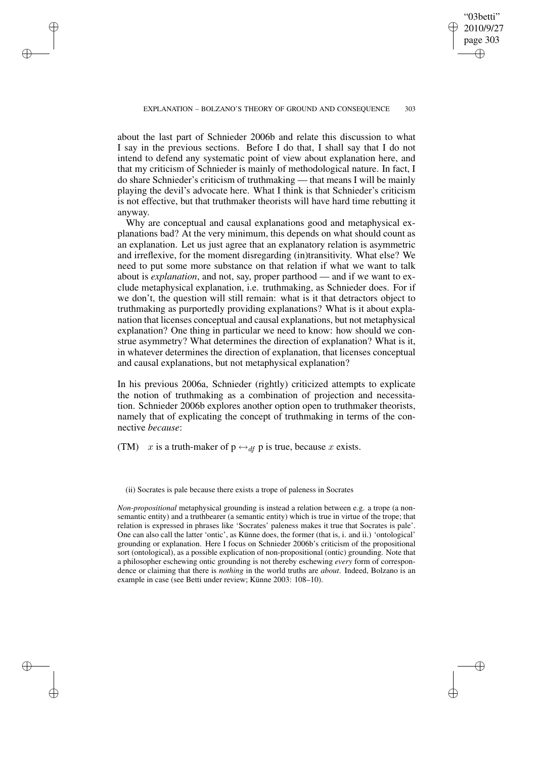✐

✐

✐

✐

✐

about the last part of Schnieder 2006b and relate this discussion to what I say in the previous sections. Before I do that, I shall say that I do not intend to defend any systematic point of view about explanation here, and that my criticism of Schnieder is mainly of methodological nature. In fact, I do share Schnieder's criticism of truthmaking — that means I will be mainly playing the devil's advocate here. What I think is that Schnieder's criticism is not effective, but that truthmaker theorists will have hard time rebutting it anyway.

Why are conceptual and causal explanations good and metaphysical explanations bad? At the very minimum, this depends on what should count as an explanation. Let us just agree that an explanatory relation is asymmetric and irreflexive, for the moment disregarding (in)transitivity. What else? We need to put some more substance on that relation if what we want to talk about is *explanation*, and not, say, proper parthood — and if we want to exclude metaphysical explanation, i.e. truthmaking, as Schnieder does. For if we don't, the question will still remain: what is it that detractors object to truthmaking as purportedly providing explanations? What is it about explanation that licenses conceptual and causal explanations, but not metaphysical explanation? One thing in particular we need to know: how should we construe asymmetry? What determines the direction of explanation? What is it, in whatever determines the direction of explanation, that licenses conceptual and causal explanations, but not metaphysical explanation?

In his previous 2006a, Schnieder (rightly) criticized attempts to explicate the notion of truthmaking as a combination of projection and necessitation. Schnieder 2006b explores another option open to truthmaker theorists, namely that of explicating the concept of truthmaking in terms of the connective *because*:

(TM) x is a truth-maker of  $p \leftrightarrow_{df} p$  is true, because x exists.

(ii) Socrates is pale because there exists a trope of paleness in Socrates

*Non-propositional* metaphysical grounding is instead a relation between e.g. a trope (a nonsemantic entity) and a truthbearer (a semantic entity) which is true in virtue of the trope; that relation is expressed in phrases like 'Socrates' paleness makes it true that Socrates is pale'. One can also call the latter 'ontic', as Künne does, the former (that is, i. and ii.) 'ontological' grounding or explanation. Here I focus on Schnieder 2006b's criticism of the propositional sort (ontological), as a possible explication of non-propositional (ontic) grounding. Note that a philosopher eschewing ontic grounding is not thereby eschewing *every* form of correspondence or claiming that there is *nothing* in the world truths are *about*. Indeed, Bolzano is an example in case (see Betti under review; Künne 2003: 108–10).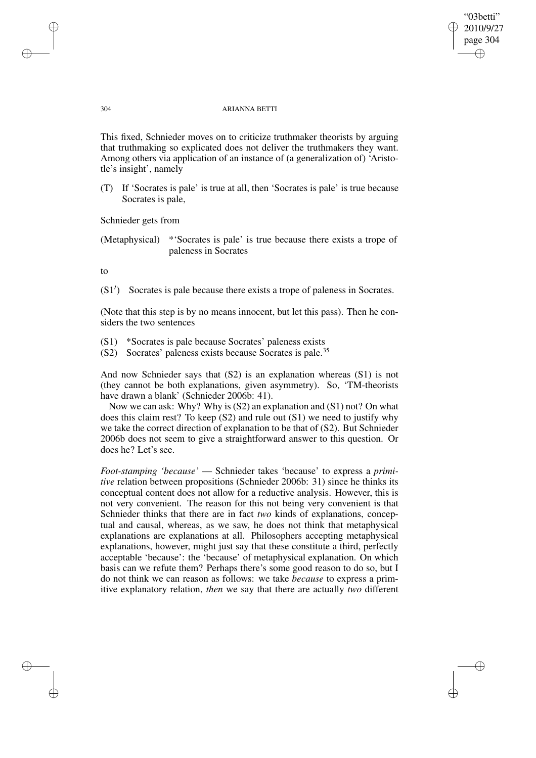"03betti" 2010/9/27 page 304 ✐ ✐

✐

#### 304 ARIANNA BETTI

This fixed, Schnieder moves on to criticize truthmaker theorists by arguing that truthmaking so explicated does not deliver the truthmakers they want. Among others via application of an instance of (a generalization of) 'Aristotle's insight', namely

(T) If 'Socrates is pale' is true at all, then 'Socrates is pale' is true because Socrates is pale,

Schnieder gets from

(Metaphysical) \*'Socrates is pale' is true because there exists a trope of paleness in Socrates

to

✐

✐

✐

✐

(S1<sup>'</sup>) Socrates is pale because there exists a trope of paleness in Socrates.

(Note that this step is by no means innocent, but let this pass). Then he considers the two sentences

(S1) \*Socrates is pale because Socrates' paleness exists

(S2) Socrates' paleness exists because Socrates is pale.<sup>35</sup>

And now Schnieder says that (S2) is an explanation whereas (S1) is not (they cannot be both explanations, given asymmetry). So, 'TM-theorists have drawn a blank' (Schnieder 2006b: 41).

Now we can ask: Why? Why is (S2) an explanation and (S1) not? On what does this claim rest? To keep (S2) and rule out (S1) we need to justify why we take the correct direction of explanation to be that of (S2). But Schnieder 2006b does not seem to give a straightforward answer to this question. Or does he? Let's see.

*Foot-stamping 'because'* — Schnieder takes 'because' to express a *primitive* relation between propositions (Schnieder 2006b: 31) since he thinks its conceptual content does not allow for a reductive analysis. However, this is not very convenient. The reason for this not being very convenient is that Schnieder thinks that there are in fact *two* kinds of explanations, conceptual and causal, whereas, as we saw, he does not think that metaphysical explanations are explanations at all. Philosophers accepting metaphysical explanations, however, might just say that these constitute a third, perfectly acceptable 'because': the 'because' of metaphysical explanation. On which basis can we refute them? Perhaps there's some good reason to do so, but I do not think we can reason as follows: we take *because* to express a primitive explanatory relation, *then* we say that there are actually *two* different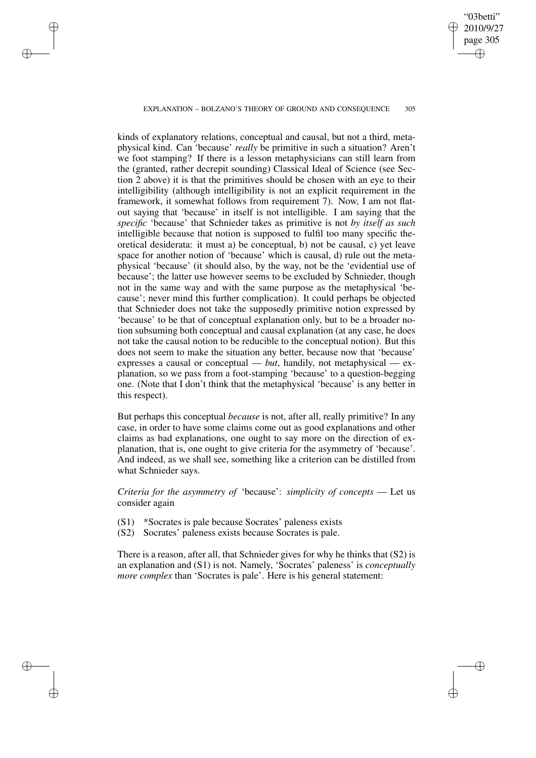#### EXPLANATION – BOLZANO'S THEORY OF GROUND AND CONSEQUENCE 305

✐

✐

✐

✐

"03betti" 2010/9/27 page 305

✐

✐

✐

✐

kinds of explanatory relations, conceptual and causal, but not a third, metaphysical kind. Can 'because' *really* be primitive in such a situation? Aren't we foot stamping? If there is a lesson metaphysicians can still learn from the (granted, rather decrepit sounding) Classical Ideal of Science (see Section 2 above) it is that the primitives should be chosen with an eye to their intelligibility (although intelligibility is not an explicit requirement in the framework, it somewhat follows from requirement 7). Now, I am not flatout saying that 'because' in itself is not intelligible. I am saying that the *specific* 'because' that Schnieder takes as primitive is not *by itself as such* intelligible because that notion is supposed to fulfil too many specific theoretical desiderata: it must a) be conceptual, b) not be causal, c) yet leave space for another notion of 'because' which is causal, d) rule out the metaphysical 'because' (it should also, by the way, not be the 'evidential use of because'; the latter use however seems to be excluded by Schnieder, though not in the same way and with the same purpose as the metaphysical 'because'; never mind this further complication). It could perhaps be objected that Schnieder does not take the supposedly primitive notion expressed by 'because' to be that of conceptual explanation only, but to be a broader notion subsuming both conceptual and causal explanation (at any case, he does not take the causal notion to be reducible to the conceptual notion). But this does not seem to make the situation any better, because now that 'because' expresses a causal or conceptual — *but*, handily, not metaphysical — explanation, so we pass from a foot-stamping 'because' to a question-begging one. (Note that I don't think that the metaphysical 'because' is any better in this respect).

But perhaps this conceptual *because* is not, after all, really primitive? In any case, in order to have some claims come out as good explanations and other claims as bad explanations, one ought to say more on the direction of explanation, that is, one ought to give criteria for the asymmetry of 'because'. And indeed, as we shall see, something like a criterion can be distilled from what Schnieder says.

*Criteria for the asymmetry of* 'because': *simplicity of concepts* — Let us consider again

- (S1) \*Socrates is pale because Socrates' paleness exists
- (S2) Socrates' paleness exists because Socrates is pale.

There is a reason, after all, that Schnieder gives for why he thinks that (S2) is an explanation and (S1) is not. Namely, 'Socrates' paleness' is *conceptually more complex* than 'Socrates is pale'. Here is his general statement: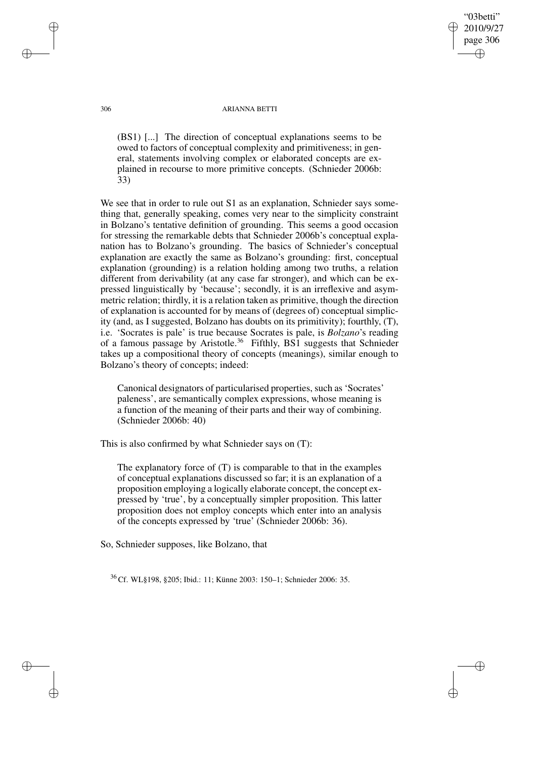# "03betti" 2010/9/27 page 306 ✐ ✐

✐

✐

#### 306 ARIANNA BETTI

(BS1) [...] The direction of conceptual explanations seems to be owed to factors of conceptual complexity and primitiveness; in general, statements involving complex or elaborated concepts are explained in recourse to more primitive concepts. (Schnieder 2006b: 33)

We see that in order to rule out S1 as an explanation, Schnieder says something that, generally speaking, comes very near to the simplicity constraint in Bolzano's tentative definition of grounding. This seems a good occasion for stressing the remarkable debts that Schnieder 2006b's conceptual explanation has to Bolzano's grounding. The basics of Schnieder's conceptual explanation are exactly the same as Bolzano's grounding: first, conceptual explanation (grounding) is a relation holding among two truths, a relation different from derivability (at any case far stronger), and which can be expressed linguistically by 'because'; secondly, it is an irreflexive and asymmetric relation; thirdly, it is a relation taken as primitive, though the direction of explanation is accounted for by means of (degrees of) conceptual simplicity (and, as I suggested, Bolzano has doubts on its primitivity); fourthly, (T), i.e. 'Socrates is pale' is true because Socrates is pale, is *Bolzano*'s reading of a famous passage by Aristotle.<sup>36</sup> Fifthly, BS1 suggests that Schnieder takes up a compositional theory of concepts (meanings), similar enough to Bolzano's theory of concepts; indeed:

Canonical designators of particularised properties, such as'Socrates' paleness', are semantically complex expressions, whose meaning is a function of the meaning of their parts and their way of combining. (Schnieder 2006b: 40)

This is also confirmed by what Schnieder says on (T):

The explanatory force of (T) is comparable to that in the examples of conceptual explanations discussed so far; it is an explanation of a proposition employing a logically elaborate concept, the concept expressed by 'true', by a conceptually simpler proposition. This latter proposition does not employ concepts which enter into an analysis of the concepts expressed by 'true' (Schnieder 2006b: 36).

So, Schnieder supposes, like Bolzano, that

<sup>36</sup> Cf. WL§198, §205; Ibid.: 11; Künne 2003: 150–1; Schnieder 2006: 35.

✐

✐

✐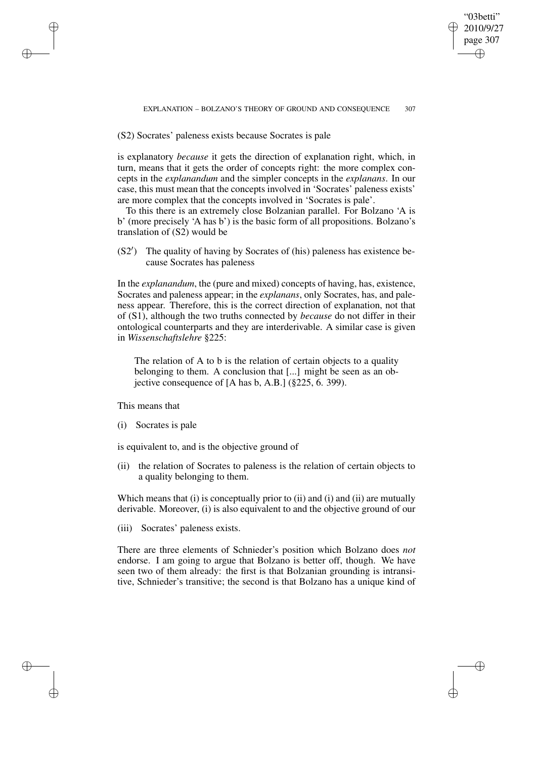"03betti" 2010/9/27 page 307 ✐ ✐

✐

✐

(S2) Socrates' paleness exists because Socrates is pale

is explanatory *because* it gets the direction of explanation right, which, in turn, means that it gets the order of concepts right: the more complex concepts in the *explanandum* and the simpler concepts in the *explanans*. In our case, this must mean that the concepts involved in 'Socrates' paleness exists' are more complex that the concepts involved in 'Socrates is pale'.

To this there is an extremely close Bolzanian parallel. For Bolzano 'A is b' (more precisely 'A has b') is the basic form of all propositions. Bolzano's translation of (S2) would be

(S2<sup>'</sup>) The quality of having by Socrates of (his) paleness has existence because Socrates has paleness

In the *explanandum*, the (pure and mixed) concepts of having, has, existence, Socrates and paleness appear; in the *explanans*, only Socrates, has, and paleness appear. Therefore, this is the correct direction of explanation, not that of (S1), although the two truths connected by *because* do not differ in their ontological counterparts and they are interderivable. A similar case is given in *Wissenschaftslehre* §225:

The relation of A to b is the relation of certain objects to a quality belonging to them. A conclusion that [...] might be seen as an objective consequence of [A has b, A.B.] (§225, 6. 399).

This means that

✐

✐

✐

✐

(i) Socrates is pale

is equivalent to, and is the objective ground of

(ii) the relation of Socrates to paleness is the relation of certain objects to a quality belonging to them.

Which means that (i) is conceptually prior to (ii) and (i) and (ii) are mutually derivable. Moreover, (i) is also equivalent to and the objective ground of our

(iii) Socrates' paleness exists.

There are three elements of Schnieder's position which Bolzano does *not* endorse. I am going to argue that Bolzano is better off, though. We have seen two of them already: the first is that Bolzanian grounding is intransitive, Schnieder's transitive; the second is that Bolzano has a unique kind of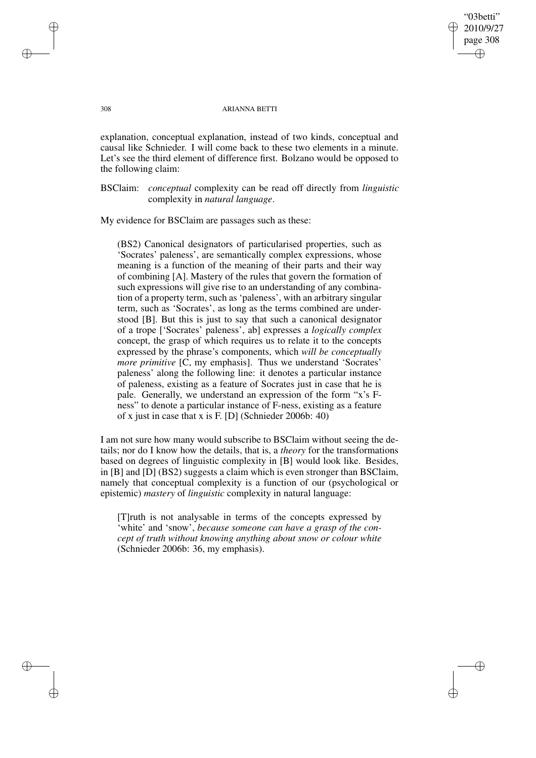"03betti" 2010/9/27 page 308 ✐ ✐

✐

✐

### 308 ARIANNA BETTI

explanation, conceptual explanation, instead of two kinds, conceptual and causal like Schnieder. I will come back to these two elements in a minute. Let's see the third element of difference first. Bolzano would be opposed to the following claim:

BSClaim: *conceptual* complexity can be read off directly from *linguistic* complexity in *natural language*.

My evidence for BSClaim are passages such as these:

(BS2) Canonical designators of particularised properties, such as 'Socrates' paleness', are semantically complex expressions, whose meaning is a function of the meaning of their parts and their way of combining [A]. Mastery of the rules that govern the formation of such expressions will give rise to an understanding of any combination of a property term, such as 'paleness', with an arbitrary singular term, such as 'Socrates', as long as the terms combined are understood [B]. But this is just to say that such a canonical designator of a trope ['Socrates' paleness', ab] expresses a *logically complex* concept, the grasp of which requires us to relate it to the concepts expressed by the phrase's components, which *will be conceptually more primitive* [C, my emphasis]. Thus we understand 'Socrates' paleness' along the following line: it denotes a particular instance of paleness, existing as a feature of Socrates just in case that he is pale. Generally, we understand an expression of the form "x's Fness" to denote a particular instance of F-ness, existing as a feature of x just in case that x is F. [D] (Schnieder 2006b: 40)

I am not sure how many would subscribe to BSClaim without seeing the details; nor do I know how the details, that is, a *theory* for the transformations based on degrees of linguistic complexity in [B] would look like. Besides, in [B] and [D] (BS2) suggests a claim which is even stronger than BSClaim, namely that conceptual complexity is a function of our (psychological or epistemic) *mastery* of *linguistic* complexity in natural language:

[T]ruth is not analysable in terms of the concepts expressed by 'white' and 'snow', *because someone can have a grasp of the concept of truth without knowing anything about snow or colour white* (Schnieder 2006b: 36, my emphasis).

✐

✐

✐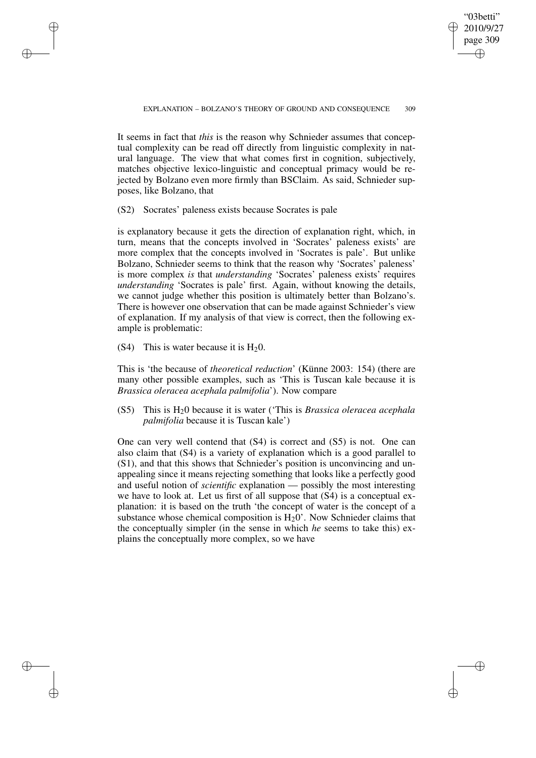✐

It seems in fact that *this* is the reason why Schnieder assumes that conceptual complexity can be read off directly from linguistic complexity in natural language. The view that what comes first in cognition, subjectively, matches objective lexico-linguistic and conceptual primacy would be rejected by Bolzano even more firmly than BSClaim. As said, Schnieder supposes, like Bolzano, that

(S2) Socrates' paleness exists because Socrates is pale

is explanatory because it gets the direction of explanation right, which, in turn, means that the concepts involved in 'Socrates' paleness exists' are more complex that the concepts involved in 'Socrates is pale'. But unlike Bolzano, Schnieder seems to think that the reason why 'Socrates' paleness' is more complex *is* that *understanding* 'Socrates' paleness exists' requires *understanding* 'Socrates is pale' first. Again, without knowing the details, we cannot judge whether this position is ultimately better than Bolzano's. There is however one observation that can be made against Schnieder's view of explanation. If my analysis of that view is correct, then the following example is problematic:

(S4) This is water because it is  $H<sub>2</sub>0$ .

✐

✐

✐

✐

This is 'the because of *theoretical reduction*' (Künne 2003: 154) (there are many other possible examples, such as 'This is Tuscan kale because it is *Brassica oleracea acephala palmifolia*'). Now compare

(S5) This is H20 because it is water ('This is *Brassica oleracea acephala palmifolia* because it is Tuscan kale')

One can very well contend that (S4) is correct and (S5) is not. One can also claim that (S4) is a variety of explanation which is a good parallel to (S1), and that this shows that Schnieder's position is unconvincing and unappealing since it means rejecting something that looks like a perfectly good and useful notion of *scientific* explanation — possibly the most interesting we have to look at. Let us first of all suppose that (S4) is a conceptual explanation: it is based on the truth 'the concept of water is the concept of a substance whose chemical composition is  $H<sub>2</sub>0'$ . Now Schnieder claims that the conceptually simpler (in the sense in which *he* seems to take this) explains the conceptually more complex, so we have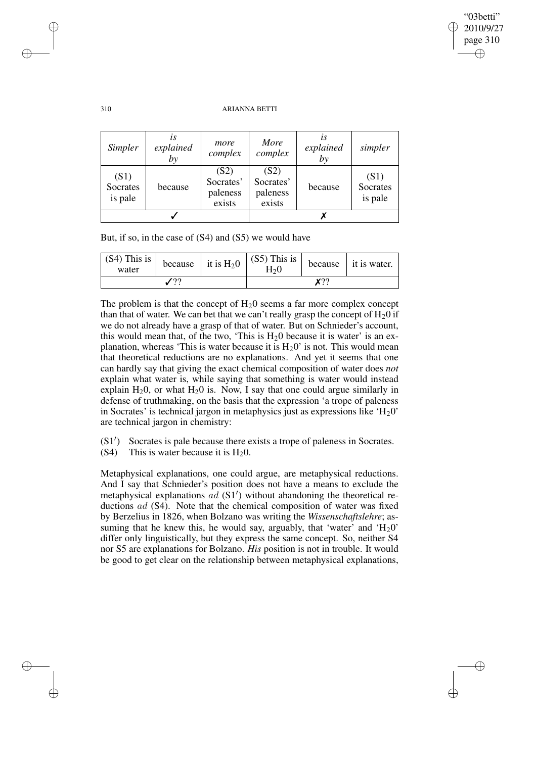✐

## 310 ARIANNA BETTI

| Simpler                     | lS<br>explained<br>by | more<br>complex                         | More<br>complex                         | LS<br>explained<br>by | simpler                     |
|-----------------------------|-----------------------|-----------------------------------------|-----------------------------------------|-----------------------|-----------------------------|
| (S1)<br>Socrates<br>is pale | because               | (S2)<br>Socrates'<br>paleness<br>exists | (S2)<br>Socrates'<br>paleness<br>exists | because               | (S1)<br>Socrates<br>is pale |
|                             |                       |                                         |                                         |                       |                             |

But, if so, in the case of (S4) and (S5) we would have

| $(\overline{S4})$ This is $\vert$ because $\vert$ it is H <sub>2</sub> 0 $\vert \ \vert \ \cdot \ \cdot \ \vert$<br>water |  |  | $(S5)$ This is<br>H20 |  | because it is water. |
|---------------------------------------------------------------------------------------------------------------------------|--|--|-----------------------|--|----------------------|
|                                                                                                                           |  |  | ∨າາ                   |  |                      |

The problem is that the concept of  $H<sub>2</sub>0$  seems a far more complex concept than that of water. We can bet that we can't really grasp the concept of  $H_20$  if we do not already have a grasp of that of water. But on Schnieder's account, this would mean that, of the two, 'This is  $H<sub>2</sub>0$  because it is water' is an explanation, whereas 'This is water because it is  $H_20$ ' is not. This would mean that theoretical reductions are no explanations. And yet it seems that one can hardly say that giving the exact chemical composition of water does *not* explain what water is, while saying that something is water would instead explain  $H_2$ 0, or what  $H_2$ 0 is. Now, I say that one could argue similarly in defense of truthmaking, on the basis that the expression 'a trope of paleness in Socrates' is technical jargon in metaphysics just as expressions like  $H_20'$ are technical jargon in chemistry:

 $(S1')$ ) Socrates is pale because there exists a trope of paleness in Socrates.

(S4) This is water because it is  $H_20$ .

Metaphysical explanations, one could argue, are metaphysical reductions. And I say that Schnieder's position does not have a means to exclude the  $m_{\text{F}}$  and  $\sigma$  contributes a position of  $\sigma$  (S1<sup>'</sup>) without abandoning the theoretical reductions ad (S4). Note that the chemical composition of water was fixed by Berzelius in 1826, when Bolzano was writing the *Wissenschaftslehre*; assuming that he knew this, he would say, arguably, that 'water' and  $H_20$ ' differ only linguistically, but they express the same concept. So, neither S4 nor S5 are explanations for Bolzano. *His* position is not in trouble. It would be good to get clear on the relationship between metaphysical explanations,

✐

✐

✐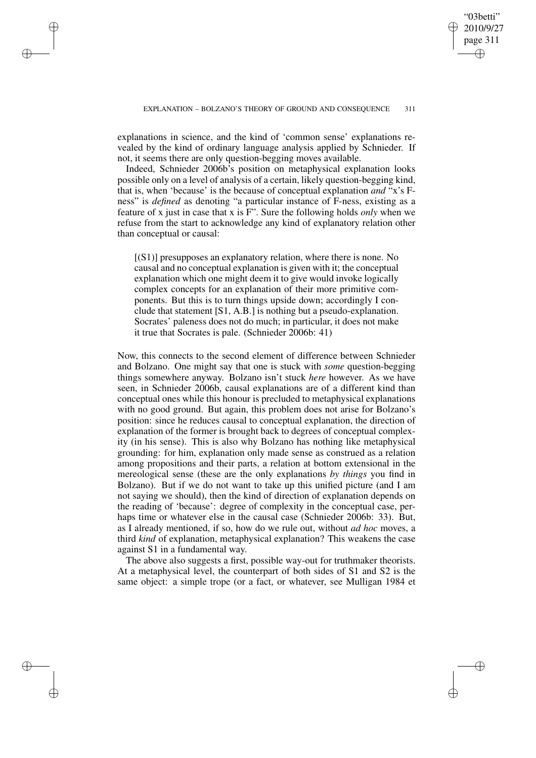✐

explanations in science, and the kind of 'common sense' explanations revealed by the kind of ordinary language analysis applied by Schnieder. If not, it seems there are only question-begging moves available.

✐

✐

✐

✐

Indeed, Schnieder 2006b's position on metaphysical explanation looks possible only on a level of analysis of a certain, likely question-begging kind, that is, when 'because' is the because of conceptual explanation *and* "x's Fness" is *defined* as denoting "a particular instance of F-ness, existing as a feature of x just in case that x is F". Sure the following holds *only* when we refuse from the start to acknowledge any kind of explanatory relation other than conceptual or causal:

 $[(S1)]$  presupposes an explanatory relation, where there is none. No causal and no conceptual explanation is given with it; the conceptual explanation which one might deem it to give would invoke logically complex concepts for an explanation of their more primitive components. But this is to turn things upside down; accordingly I conclude that statement [S1, A.B.] is nothing but a pseudo-explanation. Socrates' paleness does not do much; in particular, it does not make it true that Socrates is pale. (Schnieder 2006b: 41)

Now, this connects to the second element of difference between Schnieder and Bolzano. One might say that one is stuck with *some* question-begging things somewhere anyway. Bolzano isn't stuck *here* however. As we have seen, in Schnieder 2006b, causal explanations are of a different kind than conceptual ones while this honour is precluded to metaphysical explanations with no good ground. But again, this problem does not arise for Bolzano's position: since he reduces causal to conceptual explanation, the direction of explanation of the former is brought back to degrees of conceptual complexity (in his sense). This is also why Bolzano has nothing like metaphysical grounding: for him, explanation only made sense as construed as a relation among propositions and their parts, a relation at bottom extensional in the mereological sense (these are the only explanations *by things* you find in Bolzano). But if we do not want to take up this unified picture (and I am not saying we should), then the kind of direction of explanation depends on the reading of 'because': degree of complexity in the conceptual case, perhaps time or whatever else in the causal case (Schnieder 2006b: 33). But, as I already mentioned, if so, how do we rule out, without *ad hoc* moves, a third *kind* of explanation, metaphysical explanation? This weakens the case against S1 in a fundamental way.

The above also suggests a first, possible way-out for truthmaker theorists. At a metaphysical level, the counterpart of both sides of S1 and S2 is the same object: a simple trope (or a fact, or whatever, see Mulligan 1984 et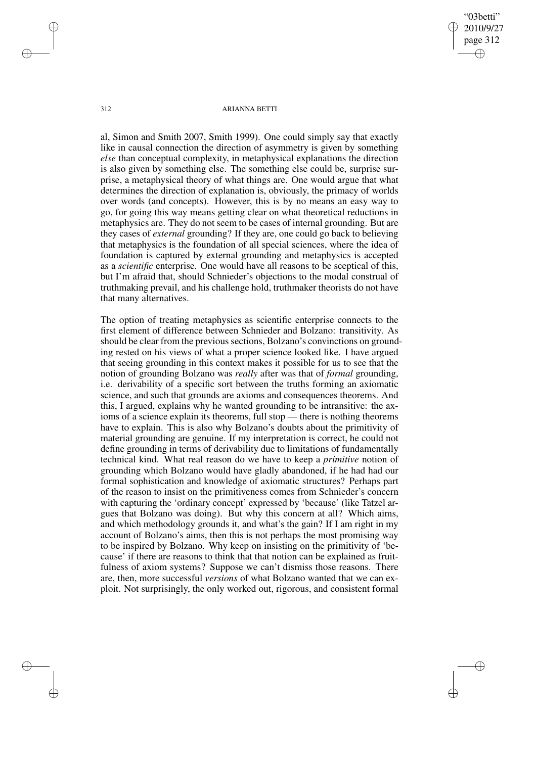"03betti" 2010/9/27 page 312 ✐ ✐

✐

✐

#### 312 ARIANNA BETTI

al, Simon and Smith 2007, Smith 1999). One could simply say that exactly like in causal connection the direction of asymmetry is given by something *else* than conceptual complexity, in metaphysical explanations the direction is also given by something else. The something else could be, surprise surprise, a metaphysical theory of what things are. One would argue that what determines the direction of explanation is, obviously, the primacy of worlds over words (and concepts). However, this is by no means an easy way to go, for going this way means getting clear on what theoretical reductions in metaphysics are. They do not seem to be cases of internal grounding. But are they cases of *external* grounding? If they are, one could go back to believing that metaphysics is the foundation of all special sciences, where the idea of foundation is captured by external grounding and metaphysics is accepted as a *scientific* enterprise. One would have all reasons to be sceptical of this, but I'm afraid that, should Schnieder's objections to the modal construal of truthmaking prevail, and his challenge hold, truthmaker theorists do not have that many alternatives.

The option of treating metaphysics as scientific enterprise connects to the first element of difference between Schnieder and Bolzano: transitivity. As should be clear from the previous sections, Bolzano's convinctions on grounding rested on his views of what a proper science looked like. I have argued that seeing grounding in this context makes it possible for us to see that the notion of grounding Bolzano was *really* after was that of *formal* grounding, i.e. derivability of a specific sort between the truths forming an axiomatic science, and such that grounds are axioms and consequences theorems. And this, I argued, explains why he wanted grounding to be intransitive: the axioms of a science explain its theorems, full stop — there is nothing theorems have to explain. This is also why Bolzano's doubts about the primitivity of material grounding are genuine. If my interpretation is correct, he could not define grounding in terms of derivability due to limitations of fundamentally technical kind. What real reason do we have to keep a *primitive* notion of grounding which Bolzano would have gladly abandoned, if he had had our formal sophistication and knowledge of axiomatic structures? Perhaps part of the reason to insist on the primitiveness comes from Schnieder's concern with capturing the 'ordinary concept' expressed by 'because' (like Tatzel argues that Bolzano was doing). But why this concern at all? Which aims, and which methodology grounds it, and what's the gain? If I am right in my account of Bolzano's aims, then this is not perhaps the most promising way to be inspired by Bolzano. Why keep on insisting on the primitivity of 'because' if there are reasons to think that that notion can be explained as fruitfulness of axiom systems? Suppose we can't dismiss those reasons. There are, then, more successful *versions* of what Bolzano wanted that we can exploit. Not surprisingly, the only worked out, rigorous, and consistent formal

✐

✐

✐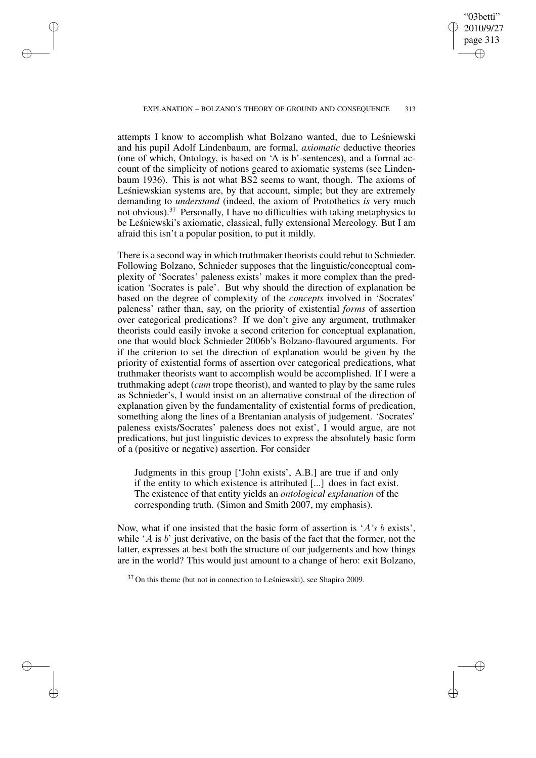# "03betti" 2010/9/27 page 313 ✐ ✐

✐

✐

### EXPLANATION – BOLZANO'S THEORY OF GROUND AND CONSEQUENCE 313

✐

✐

✐

✐

attempts I know to accomplish what Bolzano wanted, due to Leśniewski and his pupil Adolf Lindenbaum, are formal, *axiomatic* deductive theories (one of which, Ontology, is based on 'A is b'-sentences), and a formal account of the simplicity of notions geared to axiomatic systems (see Lindenbaum 1936). This is not what BS2 seems to want, though. The axioms of Leśniewskian systems are, by that account, simple; but they are extremely demanding to *understand* (indeed, the axiom of Protothetics *is* very much not obvious).<sup>37</sup> Personally, I have no difficulties with taking metaphysics to be Leśniewski's axiomatic, classical, fully extensional Mereology. But I am afraid this isn't a popular position, to put it mildly.

There is a second way in which truthmaker theorists could rebut to Schnieder. Following Bolzano, Schnieder supposes that the linguistic/conceptual complexity of 'Socrates' paleness exists' makes it more complex than the predication 'Socrates is pale'. But why should the direction of explanation be based on the degree of complexity of the *concepts* involved in 'Socrates' paleness' rather than, say, on the priority of existential *forms* of assertion over categorical predications? If we don't give any argument, truthmaker theorists could easily invoke a second criterion for conceptual explanation, one that would block Schnieder 2006b's Bolzano-flavoured arguments. For if the criterion to set the direction of explanation would be given by the priority of existential forms of assertion over categorical predications, what truthmaker theorists want to accomplish would be accomplished. If I were a truthmaking adept (*cum* trope theorist), and wanted to play by the same rules as Schnieder's, I would insist on an alternative construal of the direction of explanation given by the fundamentality of existential forms of predication, something along the lines of a Brentanian analysis of judgement. 'Socrates' paleness exists/Socrates' paleness does not exist', I would argue, are not predications, but just linguistic devices to express the absolutely basic form of a (positive or negative) assertion. For consider

Judgments in this group ['John exists', A.B.] are true if and only if the entity to which existence is attributed [...] does in fact exist. The existence of that entity yields an *ontological explanation* of the corresponding truth. (Simon and Smith 2007, my emphasis).

Now, what if one insisted that the basic form of assertion is 'A*'s* b exists', while 'A is  $b$ ' just derivative, on the basis of the fact that the former, not the latter, expresses at best both the structure of our judgements and how things are in the world? This would just amount to a change of hero: exit Bolzano,

 $37$  On this theme (but not in connection to Lesniewski), see Shapiro 2009.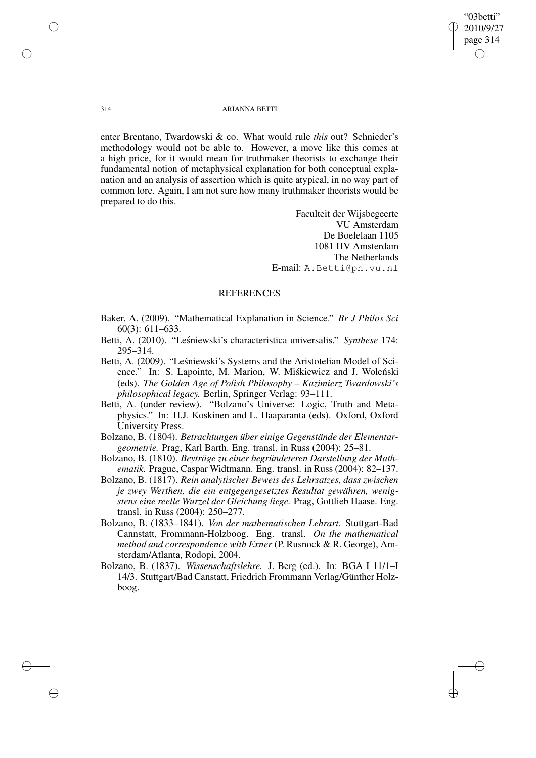"03betti" 2010/9/27 page 314 ✐ ✐

✐

✐

## 314 ARIANNA BETTI

enter Brentano, Twardowski & co. What would rule *this* out? Schnieder's methodology would not be able to. However, a move like this comes at a high price, for it would mean for truthmaker theorists to exchange their fundamental notion of metaphysical explanation for both conceptual explanation and an analysis of assertion which is quite atypical, in no way part of common lore. Again, I am not sure how many truthmaker theorists would be prepared to do this.

> Faculteit der Wijsbegeerte VU Amsterdam De Boelelaan 1105 1081 HV Amsterdam The Netherlands E-mail: A.Betti@ph.vu.nl

# **REFERENCES**

- Baker, A. (2009). "Mathematical Explanation in Science." *Br J Philos Sci* 60(3): 611–633.
- Betti, A. (2010). "Leśniewski's characteristica universalis." *Synthese* 174: 295–314.
- Betti, A. (2009). "Leśniewski's Systems and the Aristotelian Model of Science." In: S. Lapointe, M. Marion, W. Miśkiewicz and J. Woleński (eds). *The Golden Age of Polish Philosophy – Kazimierz Twardowski's philosophical legacy.* Berlin, Springer Verlag: 93–111.
- Betti, A. (under review). "Bolzano's Universe: Logic, Truth and Metaphysics." In: H.J. Koskinen and L. Haaparanta (eds). Oxford, Oxford University Press.
- Bolzano, B. (1804). *Betrachtungen über einige Gegenstände der Elementargeometrie.* Prag, Karl Barth. Eng. transl. in Russ (2004): 25–81.
- Bolzano, B. (1810). *Beyträge zu einer begründeteren Darstellung der Mathematik.* Prague, Caspar Widtmann. Eng. transl. in Russ (2004): 82–137.
- Bolzano, B. (1817). *Rein analytischer Beweis des Lehrsatzes, dass zwischen je zwey Werthen, die ein entgegengesetztes Resultat gewähren, wenigstens eine reelle Wurzel der Gleichung liege.* Prag, Gottlieb Haase. Eng. transl. in Russ (2004): 250–277.
- Bolzano, B. (1833–1841). *Von der mathematischen Lehrart.* Stuttgart-Bad Cannstatt, Frommann-Holzboog. Eng. transl. *On the mathematical method and correspondence with Exner* (P. Rusnock & R. George), Amsterdam/Atlanta, Rodopi, 2004.
- Bolzano, B. (1837). *Wissenschaftslehre.* J. Berg (ed.). In: BGA I 11/1–I 14/3. Stuttgart/Bad Canstatt, Friedrich Frommann Verlag/Günther Holzboog.

✐

✐

✐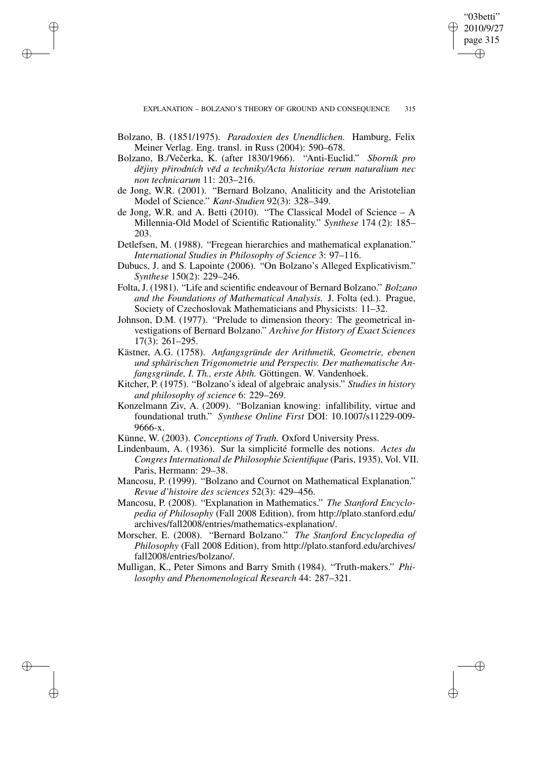✐

Bolzano, B. (1851/1975). *Paradoxien des Unendlichen.* Hamburg, Felix Meiner Verlag. Eng. transl. in Russ (2004): 590–678.

✐

✐

✐

- Bolzano, B./Večerka, K. (after 1830/1966). "Anti-Euclid." *Sborník pro dejiny ˘ prir ˇ odních ved˘ a techniky/Acta historiae rerum naturalium nec non technicarum* 11: 203–216.
- de Jong, W.R. (2001). "Bernard Bolzano, Analiticity and the Aristotelian Model of Science." *Kant-Studien* 92(3): 328–349.
- de Jong, W.R. and A. Betti (2010). "The Classical Model of Science A Millennia-Old Model of Scientific Rationality." *Synthese* 174 (2): 185– 203.
- Detlefsen, M. (1988). "Fregean hierarchies and mathematical explanation." *International Studies in Philosophy of Science* 3: 97–116.
- Dubucs, J. and S. Lapointe (2006). "On Bolzano's Alleged Explicativism." *Synthese* 150(2): 229–246.
- Folta, J. (1981). "Life and scientific endeavour of Bernard Bolzano." *Bolzano and the Foundations of Mathematical Analysis.* J. Folta (ed.). Prague, Society of Czechoslovak Mathematicians and Physicists: 11–32.
- Johnson, D.M. (1977). "Prelude to dimension theory: The geometrical investigations of Bernard Bolzano." *Archive for History of Exact Sciences* 17(3): 261–295.
- Kästner, A.G. (1758). *Anfangsgründe der Arithmetik, Geometrie, ebenen und sphärischen Trigonometrie und Perspectiv. Der mathematische Anfangsgründe, I. Th., erste Abth.* Göttingen. W. Vandenhoek.
- Kitcher, P. (1975). "Bolzano's ideal of algebraic analysis." *Studies in history and philosophy of science* 6: 229–269.
- Konzelmann Ziv, A. (2009). "Bolzanian knowing: infallibility, virtue and foundational truth." *Synthese Online First* DOI: 10.1007/s11229-009- 9666-x.
- Künne, W. (2003). *Conceptions of Truth.* Oxford University Press.
- Lindenbaum, A. (1936). Sur la simplicité formelle des notions. *Actes du CongresInternational de Philosophie Scientifique* (Paris, 1935), Vol. VII. Paris, Hermann: 29–38.
- Mancosu, P. (1999). "Bolzano and Cournot on Mathematical Explanation." *Revue d'histoire des sciences* 52(3): 429–456.
- Mancosu, P. (2008). "Explanation in Mathematics." *The Stanford Encyclopedia of Philosophy* (Fall 2008 Edition), from http://plato.stanford.edu/ archives/fall2008/entries/mathematics-explanation/.
- Morscher, E. (2008). "Bernard Bolzano." *The Stanford Encyclopedia of Philosophy* (Fall 2008 Edition), from http://plato.stanford.edu/archives/ fall2008/entries/bolzano/.
- Mulligan, K., Peter Simons and Barry Smith (1984). "Truth-makers." *Philosophy and Phenomenological Research* 44: 287–321.